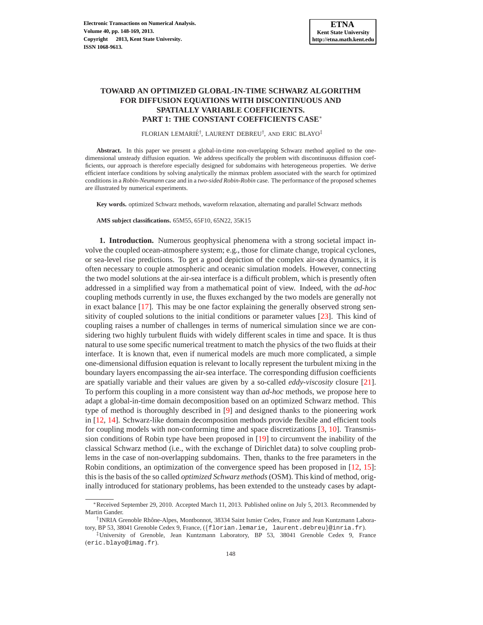# **TOWARD AN OPTIMIZED GLOBAL-IN-TIME SCHWARZ ALGORITHM FOR DIFFUSION EQUATIONS WITH DISCONTINUOUS AND SPATIALLY VARIABLE COEFFICIENTS. PART 1: THE CONSTANT COEFFICIENTS CASE**∗

FLORIAN LEMARIÉ<sup>†</sup>, LAURENT DEBREU<sup>†</sup>, AND ERIC BLAYO<sup>‡</sup>

**Abstract.** In this paper we present a global-in-time non-overlapping Schwarz method applied to the onedimensional unsteady diffusion equation. We address specifically the problem with discontinuous diffusion coefficients, our approach is therefore especially designed for subdomains with heterogeneous properties. We derive efficient interface conditions by solving analytically the minmax problem associated with the search for optimized conditions in a *Robin-Neumann* case and in a *two-sided Robin-Robin* case. The performance of the proposed schemes are illustrated by numerical experiments.

**Key words.** optimized Schwarz methods, waveform relaxation, alternating and parallel Schwarz methods

**AMS subject classifications.** 65M55, 65F10, 65N22, 35K15

**1. Introduction.** Numerous geophysical phenomena with a strong societal impact involve the coupled ocean-atmosphere system; e.g., those for climate change, tropical cyclones, or sea-level rise predictions. To get a good depiction of the complex air-sea dynamics, it is often necessary to couple atmospheric and oceanic simulation models. However, connecting the two model solutions at the air-sea interface is a difficult problem, which is presently often addressed in a simplified way from a mathematical point of view. Indeed, with the *ad-hoc* coupling methods currently in use, the fluxes exchanged by the two models are generally not in exact balance [\[17\]](#page-20-0). This may be one factor explaining the generally observed strong sensitivity of coupled solutions to the initial conditions or parameter values [\[23\]](#page-21-0). This kind of coupling raises a number of challenges in terms of numerical simulation since we are considering two highly turbulent fluids with widely different scales in time and space. It is thus natural to use some specific numerical treatment to match the physics of the two fluids at their interface. It is known that, even if numerical models are much more complicated, a simple one-dimensional diffusion equation is relevant to locally represent the turbulent mixing in the boundary layers encompassing the air-sea interface. The corresponding diffusion coefficients are spatially variable and their values are given by a so-called *eddy-viscosity* closure [\[21\]](#page-21-1). To perform this coupling in a more consistent way than *ad-hoc* methods, we propose here to adapt a global-in-time domain decomposition based on an optimized Schwarz method. This type of method is thoroughly described in [\[9\]](#page-20-1) and designed thanks to the pioneering work in [\[12,](#page-20-2) [14\]](#page-20-3). Schwarz-like domain decomposition methods provide flexible and efficient tools for coupling models with non-conforming time and space discretizations [\[3,](#page-20-4) [10\]](#page-20-5). Transmission conditions of Robin type have been proposed in [\[19\]](#page-20-6) to circumvent the inability of the classical Schwarz method (i.e., with the exchange of Dirichlet data) to solve coupling problems in the case of non-overlapping subdomains. Then, thanks to the free parameters in the Robin conditions, an optimization of the convergence speed has been proposed in [\[12,](#page-20-2) [15\]](#page-20-7): this is the basis of the so called *optimized Schwarz methods* (OSM). This kind of method, originally introduced for stationary problems, has been extended to the unsteady cases by adapt-

<sup>∗</sup>Received September 29, 2010. Accepted March 11, 2013. Published online on July 5, 2013. Recommended by Martin Gander.

<sup>&</sup>lt;sup>†</sup> INRIA Grenoble Rhône-Alpes, Montbonnot, 38334 Saint Ismier Cedex, France and Jean Kuntzmann Laboratory, BP 53, 38041 Grenoble Cedex 9, France, ({florian.lemarie, laurent.debreu}@inria.fr).

<sup>‡</sup>University of Grenoble, Jean Kuntzmann Laboratory, BP 53, 38041 Grenoble Cedex 9, France (eric.blayo@imag.fr).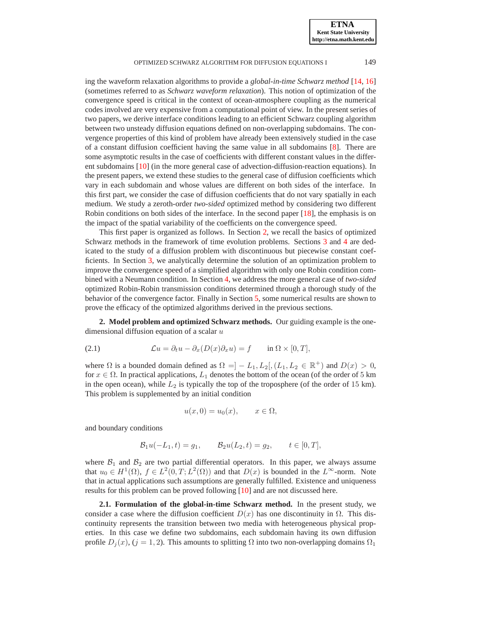**ETNA Kent State University http://etna.math.kent.edu**

#### OPTIMIZED SCHWARZ ALGORITHM FOR DIFFUSION EQUATIONS I 149

ing the waveform relaxation algorithms to provide a *global-in-time Schwarz method* [\[14,](#page-20-3) [16\]](#page-20-8) (sometimes referred to as *Schwarz waveform relaxation*). This notion of optimization of the convergence speed is critical in the context of ocean-atmosphere coupling as the numerical codes involved are very expensive from a computational point of view. In the present series of two papers, we derive interface conditions leading to an efficient Schwarz coupling algorithm between two unsteady diffusion equations defined on non-overlapping subdomains. The convergence properties of this kind of problem have already been extensively studied in the case of a constant diffusion coefficient having the same value in all subdomains [\[8\]](#page-20-9). There are some asymptotic results in the case of coefficients with different constant values in the different subdomains [\[10\]](#page-20-5) (in the more general case of advection-diffusion-reaction equations). In the present papers, we extend these studies to the general case of diffusion coefficients which vary in each subdomain and whose values are different on both sides of the interface. In this first part, we consider the case of diffusion coefficients that do not vary spatially in each medium. We study a zeroth-order *two-sided* optimized method by considering two different Robin conditions on both sides of the interface. In the second paper [\[18\]](#page-20-10), the emphasis is on the impact of the spatial variability of the coefficients on the convergence speed.

This first paper is organized as follows. In Section [2,](#page-1-0) we recall the basics of optimized Schwarz methods in the framework of time evolution problems. Sections [3](#page-5-0) and [4](#page-8-0) are dedicated to the study of a diffusion problem with discontinuous but piecewise constant coefficients. In Section [3,](#page-5-0) we analytically determine the solution of an optimization problem to improve the convergence speed of a simplified algorithm with only one Robin condition combined with a Neumann condition. In Section [4,](#page-8-0) we address the more general case of *two-sided* optimized Robin-Robin transmission conditions determined through a thorough study of the behavior of the convergence factor. Finally in Section [5,](#page-17-0) some numerical results are shown to prove the efficacy of the optimized algorithms derived in the previous sections.

<span id="page-1-0"></span>**2. Model problem and optimized Schwarz methods.** Our guiding example is the onedimensional diffusion equation of a scalar  $u$ 

(2.1) 
$$
\mathcal{L}u = \partial_t u - \partial_x (D(x)\partial_x u) = f \quad \text{in } \Omega \times [0,T],
$$

where  $\Omega$  is a bounded domain defined as  $\Omega = ] - L_1, L_2[, (L_1, L_2 \in \mathbb{R}^+)$  and  $D(x) > 0$ , for  $x \in \Omega$ . In practical applications,  $L_1$  denotes the bottom of the ocean (of the order of 5 km in the open ocean), while  $L_2$  is typically the top of the troposphere (of the order of 15 km). This problem is supplemented by an initial condition

<span id="page-1-1"></span>
$$
u(x,0) = u_0(x), \qquad x \in \Omega,
$$

and boundary conditions

$$
B_1u(-L_1,t) = g_1, \qquad B_2u(L_2,t) = g_2, \qquad t \in [0,T],
$$

where  $\mathcal{B}_1$  and  $\mathcal{B}_2$  are two partial differential operators. In this paper, we always assume that  $u_0 \in H^1(\Omega)$ ,  $f \in L^2(0,T; L^2(\Omega))$  and that  $D(x)$  is bounded in the  $L^{\infty}$ -norm. Note that in actual applications such assumptions are generally fulfilled. Existence and uniqueness results for this problem can be proved following [\[10\]](#page-20-5) and are not discussed here.

**2.1. Formulation of the global-in-time Schwarz method.** In the present study, we consider a case where the diffusion coefficient  $D(x)$  has one discontinuity in  $\Omega$ . This discontinuity represents the transition between two media with heterogeneous physical properties. In this case we define two subdomains, each subdomain having its own diffusion profile  $D_i(x)$ ,  $(j = 1, 2)$ . This amounts to splitting  $\Omega$  into two non-overlapping domains  $\Omega_1$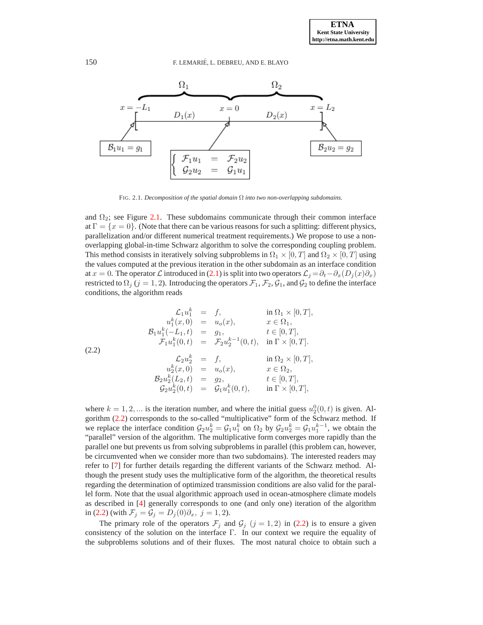

<span id="page-2-0"></span>FIG. 2.1. *Decomposition of the spatial domain* Ω *into two non-overlapping subdomains.*

and  $\Omega_2$ ; see Figure [2.1.](#page-2-0) These subdomains communicate through their common interface at  $\Gamma = \{x = 0\}$ . (Note that there can be various reasons for such a splitting: different physics, parallelization and/or different numerical treatment requirements.) We propose to use a nonoverlapping global-in-time Schwarz algorithm to solve the corresponding coupling problem. This method consists in iteratively solving subproblems in  $\Omega_1 \times [0, T]$  and  $\Omega_2 \times [0, T]$  using the values computed at the previous iteration in the other subdomain as an interface condition at  $x = 0$ . The operator L introduced in [\(2.1\)](#page-1-1) is split into two operators  $\mathcal{L}_j = \partial_t - \partial_x (D_j(x)\partial_x)$ restricted to  $\Omega_j$  (j = 1, 2). Introducing the operators  $\mathcal{F}_1$ ,  $\mathcal{F}_2$ ,  $\mathcal{G}_1$ , and  $\mathcal{G}_2$  to define the interface conditions, the algorithm reads

<span id="page-2-1"></span>(2.2)  
\n
$$
\begin{array}{rcl}\n\mathcal{L}_1 u_1^k & = & f, & \text{in } \Omega_1 \times [0, T], \\
u_1^k(x, 0) & = & u_o(x), & x \in \Omega_1, \\
\mathcal{B}_1 u_1^k(-L_1, t) & = & g_1, & t \in [0, T], \\
\mathcal{F}_1 u_1^k(0, t) & = & \mathcal{F}_2 u_2^{k-1}(0, t), & \text{in } \Gamma \times [0, T]. \\
(2.2)\n\end{array}
$$
\n
$$
\begin{array}{rcl}\n\mathcal{L}_2 u_2^k & = & f, & \text{in } \Omega_2 \times [0, T], \\
u_2^k(x, 0) & = & u_o(x), & x \in \Omega_2, \\
\mathcal{B}_2 u_2^k(L_2, t) & = & g_2, & t \in [0, T], \\
\mathcal{G}_2 u_2^k(0, t) & = & \mathcal{G}_1 u_1^k(0, t), & \text{in } \Gamma \times [0, T],\n\end{array}
$$

where  $k = 1, 2, ...$  is the iteration number, and where the initial guess  $u_2^0(0, t)$  is given. Algorithm [\(2.2\)](#page-2-1) corresponds to the so-called "multiplicative" form of the Schwarz method. If we replace the interface condition  $G_2 u_2^k = G_1 u_1^k$  on  $\Omega_2$  by  $G_2 u_2^k = G_1 u_1^{k-1}$ , we obtain the "parallel" version of the algorithm. The multiplicative form converges more rapidly than the parallel one but prevents us from solving subproblems in parallel (this problem can, however, be circumvented when we consider more than two subdomains). The interested readers may refer to [\[7\]](#page-20-11) for further details regarding the different variants of the Schwarz method. Although the present study uses the multiplicative form of the algorithm, the theoretical results regarding the determination of optimized transmission conditions are also valid for the parallel form. Note that the usual algorithmic approach used in ocean-atmosphere climate models as described in [\[4\]](#page-20-12) generally corresponds to one (and only one) iteration of the algorithm in [\(2.2\)](#page-2-1) (with  $\mathcal{F}_j = \mathcal{G}_j = D_j(0)\partial_x, j = 1, 2$ ).

The primary role of the operators  $\mathcal{F}_j$  and  $\mathcal{G}_j$   $(j = 1, 2)$  in [\(2.2\)](#page-2-1) is to ensure a given consistency of the solution on the interface Γ. In our context we require the equality of the subproblems solutions and of their fluxes. The most natural choice to obtain such a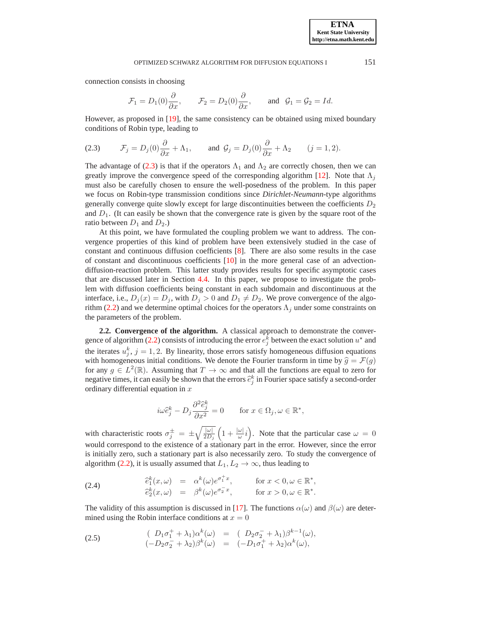connection consists in choosing

<span id="page-3-0"></span>
$$
\mathcal{F}_1 = D_1(0)\frac{\partial}{\partial x}
$$
,  $\mathcal{F}_2 = D_2(0)\frac{\partial}{\partial x}$ , and  $\mathcal{G}_1 = \mathcal{G}_2 = Id$ .

However, as proposed in [\[19\]](#page-20-6), the same consistency can be obtained using mixed boundary conditions of Robin type, leading to

(2.3) 
$$
\mathcal{F}_j = D_j(0)\frac{\partial}{\partial x} + \Lambda_1
$$
, and  $\mathcal{G}_j = D_j(0)\frac{\partial}{\partial x} + \Lambda_2$   $(j = 1, 2)$ .

The advantage of [\(2.3\)](#page-3-0) is that if the operators  $\Lambda_1$  and  $\Lambda_2$  are correctly chosen, then we can greatly improve the convergence speed of the corresponding algorithm [\[12\]](#page-20-2). Note that  $\Lambda_i$ must also be carefully chosen to ensure the well-posedness of the problem. In this paper we focus on Robin-type transmission conditions since *Dirichlet-Neumann*-type algorithms generally converge quite slowly except for large discontinuities between the coefficients  $D_2$ and  $D_1$ . (It can easily be shown that the convergence rate is given by the square root of the ratio between  $D_1$  and  $D_2$ .)

At this point, we have formulated the coupling problem we want to address. The convergence properties of this kind of problem have been extensively studied in the case of constant and continuous diffusion coefficients [\[8\]](#page-20-9). There are also some results in the case of constant and discontinuous coefficients  $[10]$  in the more general case of an advectiondiffusion-reaction problem. This latter study provides results for specific asymptotic cases that are discussed later in Section [4.4.](#page-11-0) In this paper, we propose to investigate the problem with diffusion coefficients being constant in each subdomain and discontinuous at the interface, i.e.,  $D_j(x) = D_j$ , with  $D_j > 0$  and  $D_1 \neq D_2$ . We prove convergence of the algo-rithm [\(2.2\)](#page-2-1) and we determine optimal choices for the operators  $\Lambda_j$  under some constraints on the parameters of the problem.

**2.2. Convergence of the algorithm.** A classical approach to demonstrate the conver-gence of algorithm [\(2.2\)](#page-2-1) consists of introducing the error  $e_j^k$  between the exact solution  $u^*$  and the iterates  $u_j^k$ ,  $j = 1, 2$ . By linearity, those errors satisfy homogeneous diffusion equations with homogeneous initial conditions. We denote the Fourier transform in time by  $\hat{g} = \mathcal{F}(g)$ for any  $g \in L^2(\mathbb{R})$ . Assuming that  $T \to \infty$  and that all the functions are equal to zero for negative times, it can easily be shown that the errors  $\hat{e}_j^k$  in Fourier space satisfy a second-order ordinary differential equation in  $x$ 

<span id="page-3-2"></span><span id="page-3-1"></span>
$$
i\omega \hat{e}_j^k - D_j \frac{\partial^2 \hat{e}_j^k}{\partial x^2} = 0 \quad \text{for } x \in \Omega_j, \omega \in \mathbb{R}^*,
$$

with characteristic roots  $\sigma_j^{\pm} = \pm \sqrt{\frac{|\omega|}{2D_j}}$  $\left(1 + \frac{|\omega|}{\omega}i\right)$ . Note that the particular case  $\omega = 0$ would correspond to the existence of a stationary part in the error. However, since the error is initially zero, such a stationary part is also necessarily zero. To study the convergence of algorithm [\(2.2\)](#page-2-1), it is usually assumed that  $L_1, L_2 \to \infty$ , thus leading to

(2.4) 
$$
\begin{array}{rcl}\n\widehat{e}_1^k(x,\omega) & = & \alpha^k(\omega)e^{\sigma_1^+x}, & \text{for } x < 0, \omega \in \mathbb{R}^*, \\
\widehat{e}_2^k(x,\omega) & = & \beta^k(\omega)e^{\sigma_2^-x}, & \text{for } x > 0, \omega \in \mathbb{R}^*.\n\end{array}
$$

The validity of this assumption is discussed in [\[17\]](#page-20-0). The functions  $\alpha(\omega)$  and  $\beta(\omega)$  are determined using the Robin interface conditions at  $x = 0$ 

(2.5) 
$$
\begin{array}{rcl}\n(D_1 \sigma_1^+ + \lambda_1) \alpha^k(\omega) & = & (D_2 \sigma_2^- + \lambda_1) \beta^{k-1}(\omega), \\
(-D_2 \sigma_2^- + \lambda_2) \beta^k(\omega) & = & (-D_1 \sigma_1^+ + \lambda_2) \alpha^k(\omega),\n\end{array}
$$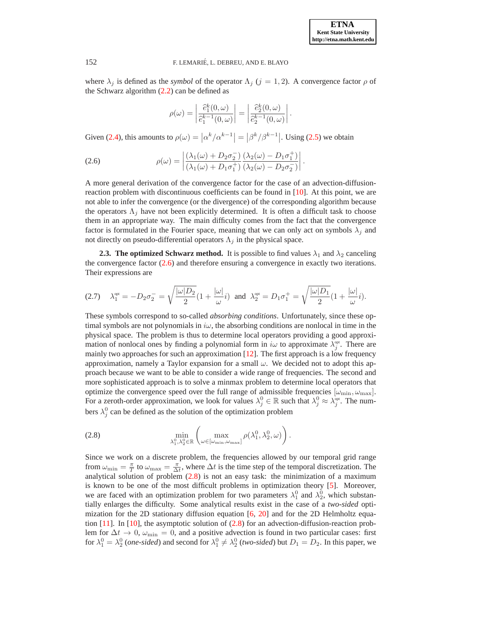where  $\lambda_j$  is defined as the *symbol* of the operator  $\Lambda_j$  ( $j = 1, 2$ ). A convergence factor  $\rho$  of the Schwarz algorithm  $(2.2)$  can be defined as

$$
\rho(\omega) = \left| \frac{\hat{e}_1^k(0, \omega)}{\hat{e}_1^{k-1}(0, \omega)} \right| = \left| \frac{\hat{e}_2^k(0, \omega)}{\hat{e}_2^{k-1}(0, \omega)} \right|
$$

<span id="page-4-0"></span>.

Given [\(2.4\)](#page-3-1), this amounts to  $\rho(\omega) = |\alpha^k/\alpha^{k-1}| = |\beta^k/\beta^{k-1}|$ . Using [\(2.5\)](#page-3-2) we obtain

(2.6) 
$$
\rho(\omega) = \left| \frac{(\lambda_1(\omega) + D_2 \sigma_2^{-})}{(\lambda_1(\omega) + D_1 \sigma_1^{+})} \frac{(\lambda_2(\omega) - D_1 \sigma_1^{+})}{(\lambda_2(\omega) - D_2 \sigma_2^{-})} \right|.
$$

A more general derivation of the convergence factor for the case of an advection-diffusionreaction problem with discontinuous coefficients can be found in [\[10\]](#page-20-5). At this point, we are not able to infer the convergence (or the divergence) of the corresponding algorithm because the operators  $\Lambda_i$  have not been explicitly determined. It is often a difficult task to choose them in an appropriate way. The main difficulty comes from the fact that the convergence factor is formulated in the Fourier space, meaning that we can only act on symbols  $\lambda_j$  and not directly on pseudo-differential operators  $\Lambda_j$  in the physical space.

**2.3. The optimized Schwarz method.** It is possible to find values  $\lambda_1$  and  $\lambda_2$  canceling the convergence factor [\(2.6\)](#page-4-0) and therefore ensuring a convergence in exactly two iterations. Their expressions are

<span id="page-4-2"></span>
$$
(2.7) \quad \lambda_1^{\text{opt}} = -D_2 \sigma_2^- = \sqrt{\frac{|\omega| D_2}{2}} (1 + \frac{|\omega|}{\omega} i) \ \ \text{and} \ \ \lambda_2^{\text{opt}} = D_1 \sigma_1^+ = \sqrt{\frac{|\omega| D_1}{2}} (1 + \frac{|\omega|}{\omega} i).
$$

These symbols correspond to so-called *absorbing conditions*. Unfortunately, since these optimal symbols are not polynomials in  $i\omega$ , the absorbing conditions are nonlocal in time in the physical space. The problem is thus to determine local operators providing a good approximation of nonlocal ones by finding a polynomial form in  $i\omega$  to approximate  $\lambda_j^{\text{opt}}$ . There are mainly two approaches for such an approximation [\[12\]](#page-20-2). The first approach is a low frequency approximation, namely a Taylor expansion for a small  $\omega$ . We decided not to adopt this approach because we want to be able to consider a wide range of frequencies. The second and more sophisticated approach is to solve a minmax problem to determine local operators that optimize the convergence speed over the full range of admissible frequencies  $[\omega_{\min}, \omega_{\max}]$ . For a zeroth-order approximation, we look for values  $\lambda_j^0 \in \mathbb{R}$  such that  $\lambda_j^0 \approx \lambda_j^{\text{opt}}$ . The numbers  $\lambda_j^0$  can be defined as the solution of the optimization problem

<span id="page-4-1"></span>(2.8) 
$$
\min_{\lambda_1^0, \lambda_2^0 \in \mathbb{R}} \left( \max_{\omega \in [\omega_{\min}, \omega_{\max}]} \rho(\lambda_1^0, \lambda_2^0, \omega) \right).
$$

Since we work on a discrete problem, the frequencies allowed by our temporal grid range from  $\omega_{\min} = \frac{\pi}{T}$  to  $\omega_{\max} = \frac{\pi}{\Delta t}$ , where  $\Delta t$  is the time step of the temporal discretization. The analytical solution of problem  $(2.8)$  is not an easy task: the minimization of a maximum is known to be one of the most difficult problems in optimization theory [\[5\]](#page-20-13). Moreover, we are faced with an optimization problem for two parameters  $\lambda_1^0$  and  $\lambda_2^0$ , which substantially enlarges the difficulty. Some analytical results exist in the case of a *two-sided* optimization for the 2D stationary diffusion equation [\[6,](#page-20-14) [20\]](#page-21-2) and for the 2D Helmholtz equation  $[11]$ . In  $[10]$ , the asymptotic solution of  $(2.8)$  for an advection-diffusion-reaction problem for  $\Delta t \to 0$ ,  $\omega_{\min} = 0$ , and a positive advection is found in two particular cases: first for  $\lambda_1^0 = \lambda_2^0$  (*one-sided*) and second for  $\lambda_1^0 \neq \lambda_2^0$  (*two-sided*) but  $D_1 = D_2$ . In this paper, we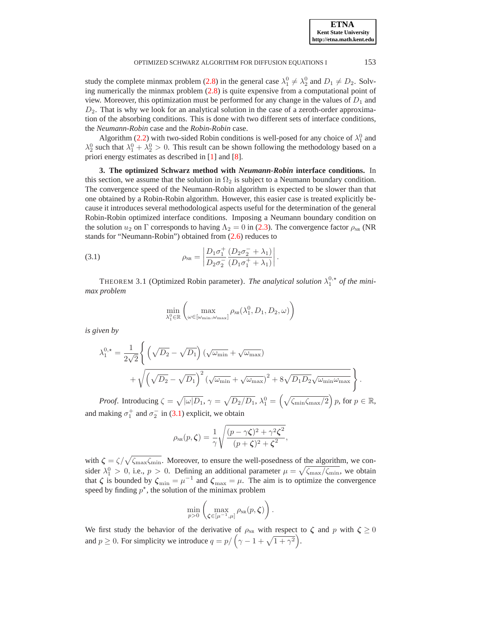study the complete minmax problem [\(2.8\)](#page-4-1) in the general case  $\lambda_1^0 \neq \lambda_2^0$  and  $D_1 \neq D_2$ . Solving numerically the minmax problem [\(2.8\)](#page-4-1) is quite expensive from a computational point of view. Moreover, this optimization must be performed for any change in the values of  $D_1$  and  $D_2$ . That is why we look for an analytical solution in the case of a zeroth-order approximation of the absorbing conditions. This is done with two different sets of interface conditions, the *Neumann-Robin* case and the *Robin-Robin* case.

Algorithm [\(2.2\)](#page-2-1) with two-sided Robin conditions is well-posed for any choice of  $\lambda_1^0$  and  $\lambda_2^0$  such that  $\lambda_1^0 + \lambda_2^0 > 0$ . This result can be shown following the methodology based on a priori energy estimates as described in [\[1\]](#page-20-16) and [\[8\]](#page-20-9).

<span id="page-5-0"></span>**3. The optimized Schwarz method with** *Neumann-Robin* **interface conditions.** In this section, we assume that the solution in  $\Omega_2$  is subject to a Neumann boundary condition. The convergence speed of the Neumann-Robin algorithm is expected to be slower than that one obtained by a Robin-Robin algorithm. However, this easier case is treated explicitly because it introduces several methodological aspects useful for the determination of the general Robin-Robin optimized interface conditions. Imposing a Neumann boundary condition on the solution  $u_2$  on Γ corresponds to having  $\Lambda_2 = 0$  in [\(2.3\)](#page-3-0). The convergence factor  $\rho_{NR}$  (NR stands for "Neumann-Robin") obtained from [\(2.6\)](#page-4-0) reduces to

(3.1) 
$$
\rho_{NR} = \left| \frac{D_1 \sigma_1^+}{D_2 \sigma_2^-} \frac{(D_2 \sigma_2^- + \lambda_1)}{(D_1 \sigma_1^+ + \lambda_1)} \right|
$$

<span id="page-5-2"></span>THEOREM 3.1 (Optimized Robin parameter). *The analytical solution*  $\lambda_1^{0,*}$  *of the minimax problem*

<span id="page-5-1"></span>.

$$
\min_{\lambda_1^0 \in \mathbb{R}} \left( \max_{\omega \in [\omega_{\min}, \omega_{\max}]} \rho_{\scriptscriptstyle NR}(\lambda_1^0, D_1, D_2, \omega) \right)
$$

*is given by*

$$
\lambda_1^{0,\star} = \frac{1}{2\sqrt{2}} \Bigg\{ \left( \sqrt{D_2} - \sqrt{D_1} \right) \left( \sqrt{\omega_{\min}} + \sqrt{\omega_{\max}} \right) + \sqrt{\left( \sqrt{D_2} - \sqrt{D_1} \right)^2 \left( \sqrt{\omega_{\min}} + \sqrt{\omega_{\max}} \right)^2 + 8\sqrt{D_1 D_2} \sqrt{\omega_{\min} \omega_{\max}}} \Bigg\}.
$$

*Proof.* Introducing  $\zeta = \sqrt{|\omega| D_1}$ ,  $\gamma = \sqrt{D_2/D_1}$ ,  $\lambda_1^0 = \left(\sqrt{\zeta_{\min} \zeta_{\max}/2}\right) p$ , for  $p \in \mathbb{R}$ , and making  $\sigma_1^+$  and  $\sigma_2^-$  in [\(3.1\)](#page-5-1) explicit, we obtain

$$
\rho_{\scriptscriptstyle NR}(p,\boldsymbol{\zeta}) = \frac{1}{\gamma} \sqrt{\frac{(p-\gamma \boldsymbol{\zeta})^2 + \gamma^2 \boldsymbol{\zeta}^2}{(p+\boldsymbol{\zeta})^2 + \boldsymbol{\zeta}^2}},
$$

with  $\zeta = \zeta/\sqrt{\zeta_{\text{max}}\zeta_{\text{min}}}$ . Moreover, to ensure the well-posedness of the algorithm, we consider  $\lambda_1^0 > 0$ , i.e.,  $p > 0$ . Defining an additional parameter  $\mu = \sqrt{\zeta_{\text{max}}/\zeta_{\text{min}}},$  we obtain that  $\zeta$  is bounded by  $\zeta_{\min} = \mu^{-1}$  and  $\zeta_{\max} = \mu$ . The aim is to optimize the convergence speed by finding  $p^*$ , the solution of the minimax problem

$$
\min_{p>0}\left(\max_{\boldsymbol{\zeta}\in[\mu^{-1},\mu]}\rho_{\scriptscriptstyle\mathrm{NR}}(p,\boldsymbol{\zeta})\right).
$$

We first study the behavior of the derivative of  $\rho_{NR}$  with respect to  $\zeta$  and p with  $\zeta \ge 0$ and  $p \ge 0$ . For simplicity we introduce  $q = p / (\gamma - 1 + \sqrt{1 + \gamma^2})$ .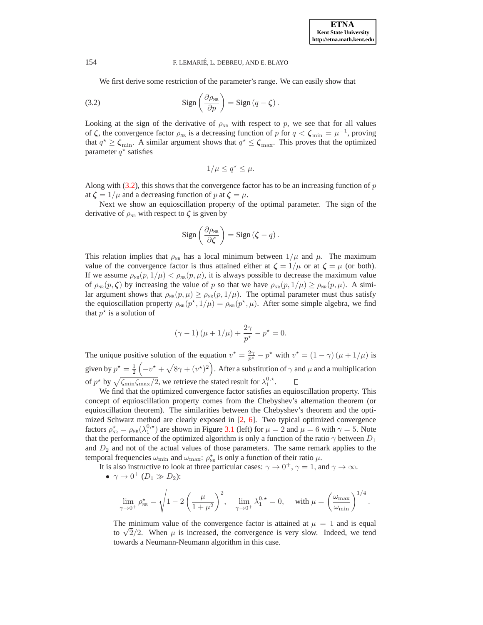We first derive some restriction of the parameter's range. We can easily show that

(3.2) 
$$
\operatorname{Sign}\left(\frac{\partial \rho_{\text{NR}}}{\partial p}\right) = \operatorname{Sign}\left(q - \zeta\right).
$$

Looking at the sign of the derivative of  $\rho_{NR}$  with respect to p, we see that for all values of  $\zeta$ , the convergence factor  $\rho_{NR}$  is a decreasing function of p for  $q < \zeta_{min} = \mu^{-1}$ , proving that  $q^* \geq \zeta_{\min}$ . A similar argument shows that  $q^* \leq \zeta_{\max}$ . This proves that the optimized parameter  $q^*$  satisfies

<span id="page-6-0"></span>
$$
1/\mu \leq q^{\star} \leq \mu.
$$

Along with  $(3.2)$ , this shows that the convergence factor has to be an increasing function of p at  $\zeta = 1/\mu$  and a decreasing function of p at  $\zeta = \mu$ .

Next we show an equioscillation property of the optimal parameter. The sign of the derivative of  $\rho_{NR}$  with respect to  $\zeta$  is given by

$$
\operatorname{Sign}\left(\frac{\partial \rho_{\scriptscriptstyle NR}}{\partial \zeta}\right)=\operatorname{Sign}\left(\zeta-q\right).
$$

This relation implies that  $\rho_{NR}$  has a local minimum between  $1/\mu$  and  $\mu$ . The maximum value of the convergence factor is thus attained either at  $\zeta = 1/\mu$  or at  $\zeta = \mu$  (or both). If we assume  $\rho_{NR}(p, 1/\mu) < \rho_{NR}(p, \mu)$ , it is always possible to decrease the maximum value of  $\rho_{NR}(p, \zeta)$  by increasing the value of p so that we have  $\rho_{NR}(p, 1/\mu) \ge \rho_{NR}(p, \mu)$ . A similar argument shows that  $\rho_{NR}(p, \mu) \ge \rho_{NR}(p, 1/\mu)$ . The optimal parameter must thus satisfy the equioscillation property  $\rho_{NR}(p^*, 1/\mu) = \rho_{NR}(p^*, \mu)$ . After some simple algebra, we find that  $p^*$  is a solution of

$$
(\gamma - 1) (\mu + 1/\mu) + \frac{2\gamma}{p^*} - p^* = 0.
$$

The unique positive solution of the equation  $v^* = \frac{2\gamma}{p^*} - p^*$  with  $v^* = (1 - \gamma)(\mu + 1/\mu)$  is  $\left(-v^* + \sqrt{8\gamma + (v^*)^2}\right)$ . After a substitution of  $\gamma$  and  $\mu$  and a multiplication given by  $p^* = \frac{1}{2}$ of  $p^*$  by  $\sqrt{\zeta_{\min} \zeta_{\max}/2}$ , we retrieve the stated result for  $\lambda_1^{0,*}$ .  $\Box$ 

We find that the optimized convergence factor satisfies an equioscillation property. This concept of equioscillation property comes from the Chebyshev's alternation theorem (or equioscillation theorem). The similarities between the Chebyshev's theorem and the optimized Schwarz method are clearly exposed in [\[2,](#page-20-17) [6\]](#page-20-14). Two typical optimized convergence factors  $\rho_{NR}^* = \rho_{NR}(\lambda_1^{0,*})$  are shown in Figure [3.1](#page-7-0) (left) for  $\mu = 2$  and  $\mu = 6$  with  $\gamma = 5$ . Note that the performance of the optimized algorithm is only a function of the ratio  $\gamma$  between  $D_1$ and  $D_2$  and not of the actual values of those parameters. The same remark applies to the temporal frequencies  $\omega_{\min}$  and  $\omega_{\max}$ :  $\rho_{\text{NR}}^*$  is only a function of their ratio  $\mu$ .

It is also instructive to look at three particular cases:  $\gamma \to 0^+$ ,  $\gamma = 1$ , and  $\gamma \to \infty$ .

•  $\gamma \to 0^+$   $(D_1 \gg D_2)$ :

$$
\lim_{\gamma \to 0^+} \rho_{\scriptscriptstyle \rm NR}^\star = \sqrt{1 - 2 \left( \frac{\mu}{1 + \mu^2} \right)^2}, \quad \lim_{\gamma \to 0^+} \lambda_1^{0,\star} = 0, \quad \text{ with } \mu = \left( \frac{\omega_{\scriptscriptstyle \rm max}}{\omega_{\scriptscriptstyle \rm min}} \right)^{1/4}.
$$

The minimum value of the convergence factor is attained at  $\mu = 1$  and is equal to  $\sqrt{2}/2$ . When  $\mu$  is increased, the convergence is very slow. Indeed, we tend towards a Neumann-Neumann algorithm in this case.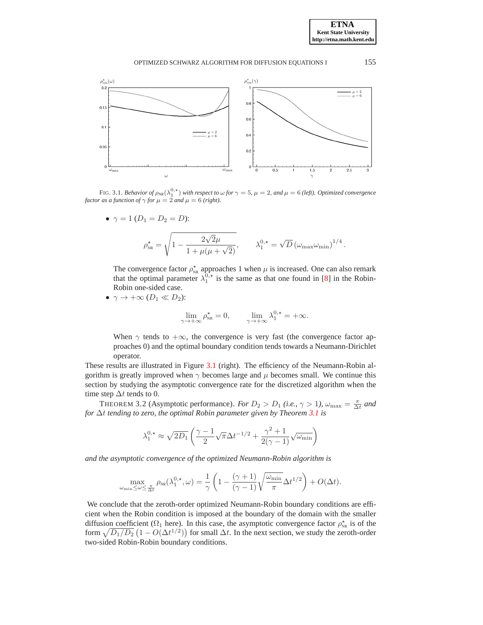

FIG. 3.1. *Behavior of*  $\rho_{NR}(\lambda_1^{0,*})$  with respect to  $\omega$  for  $\gamma=5$ ,  $\mu=2$ , and  $\mu=6$  (left). Optimized convergence *factor as a function of*  $\gamma$  *for*  $\mu = 2$  *and*  $\mu = 6$  *(right).* 

<span id="page-7-0"></span>• 
$$
\gamma = 1 (D_1 = D_2 = D):
$$
  

$$
\rho_{\text{NR}}^{\star} = \sqrt{1 - \frac{2\sqrt{2}\mu}{1 + \mu(\mu + \sqrt{2})}}, \qquad \lambda_1^{0,\star} = \sqrt{D} (\omega_{\text{max}} \omega_{\text{min}})^{1/4}.
$$

The convergence factor  $\rho_{NR}^*$  approaches 1 when  $\mu$  is increased. One can also remark that the optimal parameter  $\lambda_1^{0,*}$  is the same as that one found in [\[8\]](#page-20-9) in the Robin-Robin one-sided case.

$$
\bullet \ \gamma \to +\infty \ (D_1 \ll D_2):
$$

$$
\lim_{\gamma \to +\infty} \rho_{\rm NR}^{\star} = 0, \qquad \lim_{\gamma \to +\infty} \lambda_1^{0,\star} = +\infty.
$$

When  $\gamma$  tends to  $+\infty$ , the convergence is very fast (the convergence factor approaches 0) and the optimal boundary condition tends towards a Neumann-Dirichlet operator.

These results are illustrated in Figure [3.1](#page-7-0) (right). The efficiency of the Neumann-Robin algorithm is greatly improved when  $\gamma$  becomes large and  $\mu$  becomes small. We continue this section by studying the asymptotic convergence rate for the discretized algorithm when the time step  $\Delta t$  tends to 0.

THEOREM 3.2 (Asymptotic performance). *For*  $D_2 > D_1$  (*i.e.*,  $\gamma > 1$ ),  $\omega_{\text{max}} = \frac{\pi}{\Delta t}$  and *for* ∆t *tending to zero, the optimal Robin parameter given by Theorem [3.1](#page-5-2) is*

$$
\lambda_1^{0,\star} \approx \sqrt{2 D_1} \left( \frac{\gamma - 1}{2} \sqrt{\pi} \Delta t^{-1/2} + \frac{\gamma^2 + 1}{2(\gamma - 1)} \sqrt{\omega_{\min}} \right)
$$

*and the asymptotic convergence of the optimized Neumann-Robin algorithm is*

$$
\max_{\omega_{\min} \leq \omega \leq \frac{\pi}{\Delta t}} \rho_{\scriptscriptstyle NR}(\lambda_1^{0,\star},\omega) = \frac{1}{\gamma} \left(1 - \frac{(\gamma+1)}{(\gamma-1)}\sqrt{\frac{\omega_{\min}}{\pi}} \Delta t^{1/2}\right) + O(\Delta t).
$$

We conclude that the zeroth-order optimized Neumann-Robin boundary conditions are efficient when the Robin condition is imposed at the boundary of the domain with the smaller diffusion coefficient ( $\Omega_1$  here). In this case, the asymptotic convergence factor  $\rho_{NR}^*$  is of the form  $\sqrt{D_1/D_2}$   $(1 - O(\Delta t^{1/2}))$  for small  $\Delta t$ . In the next section, we study the zeroth-order two-sided Robin-Robin boundary conditions.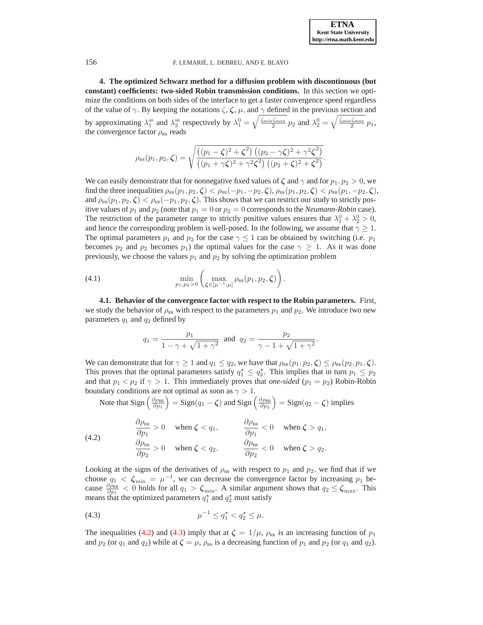<span id="page-8-3"></span><span id="page-8-2"></span><span id="page-8-1"></span>.

#### <span id="page-8-0"></span>156 F. LEMARIÉ, L. DEBREU, AND E. BLAYO

**4. The optimized Schwarz method for a diffusion problem with discontinuous (but constant) coefficients: two-sided Robin transmission conditions.** In this section we optimize the conditions on both sides of the interface to get a faster convergence speed regardless of the value of  $\gamma$ . By keeping the notations  $\zeta$ ,  $\zeta$ ,  $\mu$ , and  $\gamma$  defined in the previous section and by approximating  $\lambda_1^{\text{opt}}$  and  $\lambda_2^{\text{opt}}$  respectively by  $\lambda_1^0 = \sqrt{\frac{\zeta_{\text{min}}\zeta_{\text{max}}}{2}} p_2$  and  $\lambda_2^0 = \sqrt{\frac{\zeta_{\text{min}}\zeta_{\text{max}}}{2}} p_1$ , the convergence factor  $\rho_{RR}$  reads

$$
\rho_{RR}(p_1, p_2, \zeta) = \sqrt{\frac{((p_1 - \zeta)^2 + \zeta^2) ((p_2 - \gamma \zeta)^2 + \gamma^2 \zeta^2)}{((p_1 + \gamma \zeta)^2 + \gamma^2 \zeta^2) ((p_2 + \zeta)^2 + \zeta^2)}}.
$$

We can easily demonstrate that for nonnegative fixed values of  $\zeta$  and  $\gamma$  and for  $p_1, p_2 > 0$ , we find the three inequalities  $\rho_{RR}(p_1, p_2, \zeta) < \rho_{RR}(-p_1, -p_2, \zeta)$ ,  $\rho_{RR}(p_1, p_2, \zeta) < \rho_{RR}(p_1, -p_2, \zeta)$ , and  $\rho_{RR}(p_1, p_2, \zeta) < \rho_{RR}(-p_1, p_2, \zeta)$ . This shows that we can restrict our study to strictly positive values of  $p_1$  and  $p_2$  (note that  $p_1 = 0$  or  $p_2 = 0$  corresponds to the *Neumann-Robin* case). The restriction of the parameter range to strictly positive values ensures that  $\lambda_1^0 + \lambda_2^0 > 0$ , and hence the corresponding problem is well-posed. In the following, we assume that  $\gamma \geq 1$ . The optimal parameters  $p_1$  and  $p_2$  for the case  $\gamma \leq 1$  can be obtained by switching (i.e.  $p_1$ ) becomes  $p_2$  and  $p_2$  becomes  $p_1$ ) the optimal values for the case  $\gamma \geq 1$ . As it was done previously, we choose the values  $p_1$  and  $p_2$  by solving the optimization problem

(4.1) 
$$
\min_{p_1, p_2 > 0} \left( \max_{\zeta \in [\mu^{-1}, \mu]} \rho_{\text{RR}}(p_1, p_2, \zeta) \right).
$$

**4.1. Behavior of the convergence factor with respect to the Robin parameters.** First, we study the behavior of  $\rho_{RR}$  with respect to the parameters  $p_1$  and  $p_2$ . We introduce two new parameters  $q_1$  and  $q_2$  defined by

$$
q_1 = \frac{p_1}{1 - \gamma + \sqrt{1 + \gamma^2}}
$$
 and  $q_2 = \frac{p_2}{\gamma - 1 + \sqrt{1 + \gamma^2}}$ 

We can demonstrate that for  $\gamma \ge 1$  and  $q_1 \le q_2$ , we have that  $\rho_{RR}(p_1, p_2, \zeta) \le \rho_{RR}(p_2, p_1, \zeta)$ . This proves that the optimal parameters satisfy  $q_1^* \leq q_2^*$ . This implies that in turn  $p_1 \leq p_2$ and that  $p_1 < p_2$  if  $\gamma > 1$ . This immediately proves that *one-sided* ( $p_1 = p_2$ ) Robin-Robin boundary conditions are not optimal as soon as  $\gamma > 1$ .

Note that 
$$
\text{Sign}\left(\frac{\partial \rho_{RR}}{\partial p_1}\right) = \text{Sign}(q_1 - \zeta)
$$
 and  $\text{Sign}\left(\frac{\partial \rho_{RR}}{\partial p_2}\right) = \text{Sign}(q_2 - \zeta)$  implies

(4.2) 
$$
\frac{\partial \rho_{RR}}{\partial p_1} > 0 \quad \text{when } \zeta < q_1, \qquad \frac{\partial \rho_{RR}}{\partial p_1} < 0 \quad \text{when } \zeta > q_1,
$$

$$
\frac{\partial \rho_{RR}}{\partial p_2} > 0 \quad \text{when } \zeta < q_2, \qquad \frac{\partial \rho_{RR}}{\partial p_2} < 0 \quad \text{when } \zeta > q_2.
$$

Looking at the signs of the derivatives of  $\rho_{RR}$  with respect to  $p_1$  and  $p_2$ , we find that if we choose  $q_1 < \zeta_{\min} = \mu^{-1}$ , we can decrease the convergence factor by increasing  $p_1$  because  $\frac{\partial \rho_{\text{RR}}}{\partial p_1}$  < 0 holds for all  $q_1 > \zeta_{\text{min}}$ . A similar argument shows that  $q_2 \leq \zeta_{\text{max}}$ . This means that the optimized parameters  $q_1^*$  and  $q_2^*$  must satisfy

(4.3) 
$$
\mu^{-1} \le q_1^* < q_2^* \le \mu.
$$

The inequalities [\(4.2\)](#page-8-1) and [\(4.3\)](#page-8-2) imply that at  $\zeta = 1/\mu$ ,  $\rho_{RR}$  is an increasing function of  $p_1$ and  $p_2$  (or  $q_1$  and  $q_2$ ) while at  $\zeta = \mu$ ,  $\rho_{RR}$  is a decreasing function of  $p_1$  and  $p_2$  (or  $q_1$  and  $q_2$ ).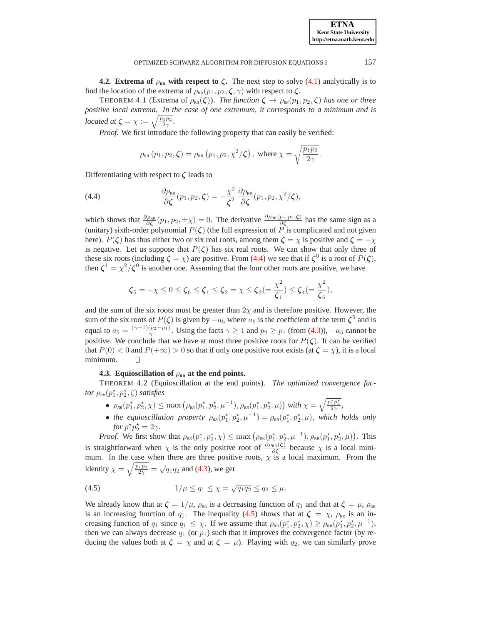**4.2. Extrema of**  $\rho_{RR}$  with respect to  $\zeta$ . The next step to solve [\(4.1\)](#page-8-3) analytically is to find the location of the extrema of  $\rho_{RR}(p_1, p_2, \zeta, \gamma)$  with respect to  $\zeta$ .

THEOREM 4.1 (Extrema of  $\rho_{RR}(\zeta)$ ). *The function*  $\zeta \to \rho_{RR}(p_1, p_2, \zeta)$  *has one or three positive local extrema. In the case of one extremum, it corresponds to a minimum and is located at*  $\zeta = \chi := \sqrt{\frac{p_1 p_2}{2\gamma}}$ .

*Proof*. We first introduce the following property that can easily be verified:

<span id="page-9-0"></span>
$$
\rho_{\scriptscriptstyle \rm RR}\left(p_1,p_2,\boldsymbol{\zeta}\right)=\rho_{\scriptscriptstyle \rm RR}\left(p_1,p_2,\chi^2/\boldsymbol{\zeta}\right), \text{ where } \chi=\sqrt{\frac{p_1p_2}{2\gamma}}.
$$

Differentiating with respect to  $\zeta$  leads to

(4.4) 
$$
\frac{\partial \rho_{RR}}{\partial \zeta}(p_1, p_2, \zeta) = -\frac{\chi^2}{\zeta^2} \frac{\partial \rho_{RR}}{\partial \zeta}(p_1, p_2, \chi^2/\zeta),
$$

which shows that  $\frac{\partial \rho_{RR}}{\partial \zeta}(p_1, p_2, \pm \chi) = 0$ . The derivative  $\frac{\partial \rho_{RR}(p_1, p_2, \zeta)}{\partial \zeta}$  has the same sign as a (unitary) sixth-order polynomial  $P(\zeta)$  (the full expression of P is complicated and not given here).  $P(\zeta)$  has thus either two or six real roots, among them  $\zeta = \gamma$  is positive and  $\zeta = -\gamma$ is negative. Let us suppose that  $P(\zeta)$  has six real roots. We can show that only three of these six roots (including  $\zeta = \chi$ ) are positive. From [\(4.4\)](#page-9-0) we see that if  $\zeta^0$  is a root of  $P(\zeta)$ , then  $\zeta^1 = \chi^2/\zeta^0$  is another one. Assuming that the four other roots are positive, we have

$$
\zeta_5=-\chi\leq 0\leq \zeta_6\leq \zeta_1\leq \zeta_2=\chi\leq \zeta_3(=\frac{\chi^2}{\zeta_1})\leq \zeta_4(=\frac{\chi^2}{\zeta_6}),
$$

and the sum of the six roots must be greater than  $2\chi$  and is therefore positive. However, the sum of the six roots of  $P(\zeta)$  is given by  $-a_5$  where  $a_5$  is the coefficient of the term  $\zeta^5$  and is equal to  $a_5 = \frac{(\gamma - 1)(p_2 - p_1)}{\gamma}$ . Using the facts  $\gamma \ge 1$  and  $p_2 \ge p_1$  (from [\(4.3\)](#page-8-2)),  $-a_5$  cannot be positive. We conclude that we have at most three positive roots for  $P(\zeta)$ . It can be verified that  $P(0) < 0$  and  $P(+\infty) > 0$  so that if only one positive root exists (at  $\zeta = \chi$ ), it is a local minimum minimum.

# **4.3. Equioscillation of**  $\rho_{RR}$  at the end points.

<span id="page-9-2"></span>THEOREM 4.2 (Equioscillation at the end points). *The optimized convergence factor*  $\rho_{RR}(p_1^*, p_2^*, \zeta)$  *satisfies* 

- $\bullet$   $\rho_{RR}(p_1^*, p_2^*, \chi) \leq \max(\rho_{RR}(p_1^*, p_2^*, \mu^{-1}), \rho_{RR}(p_1^*, p_2^*, \mu))$  with  $\chi = \sqrt{\frac{p_1^* p_2^*}{2\gamma}}$ ,
- <span id="page-9-1"></span>• *the equioscillation property*  $\rho_{RR}(p_1^*, p_2^*, \mu^{-1}) = \rho_{RR}(p_1^*, p_2^*, \mu)$ , which holds only *for*  $p_1^* p_2^* = 2\gamma$ *.*

*Proof.* We first show that  $\rho_{RR}(p_1^*, p_2^*, \chi) \leq \max(\rho_{RR}(p_1^*, p_2^*, \mu^{-1}), \rho_{RR}(p_1^*, p_2^*, \mu)).$  This is straightforward when  $\chi$  is the only positive root of  $\frac{\partial \rho_{RR}(\zeta)}{\partial \zeta}$  because  $\chi$  is a local minimum. In the case when there are three positive roots,  $\chi$  is a local maximum. From the identity  $\chi = \sqrt{\frac{p_1 p_2}{2\gamma}} = \sqrt{q_1 q_2}$  and [\(4.3\)](#page-8-2), we get

(4.5) 
$$
1/\mu \le q_1 \le \chi = \sqrt{q_1 q_2} \le q_2 \le \mu.
$$

We already know that at  $\zeta = 1/\mu$ ,  $\rho_{RR}$  is a decreasing function of  $q_1$  and that at  $\zeta = \mu$ ,  $\rho_{RR}$ is an increasing function of  $q_1$ . The inequality [\(4.5\)](#page-9-1) shows that at  $\zeta = \chi$ ,  $\rho_{RR}$  is an increasing function of  $q_1$  since  $q_1 \leq \chi$ . If we assume that  $\rho_{RR}(p_1^*, p_2^*, \chi) \geq \rho_{RR}(p_1^*, p_2^*, \mu^{-1})$ , then we can always decrease  $q_1$  (or  $p_1$ ) such that it improves the convergence factor (by reducing the values both at  $\zeta = \chi$  and at  $\zeta = \mu$ ). Playing with  $q_2$ , we can similarly prove

**ETNA Kent State University http://etna.math.kent.edu**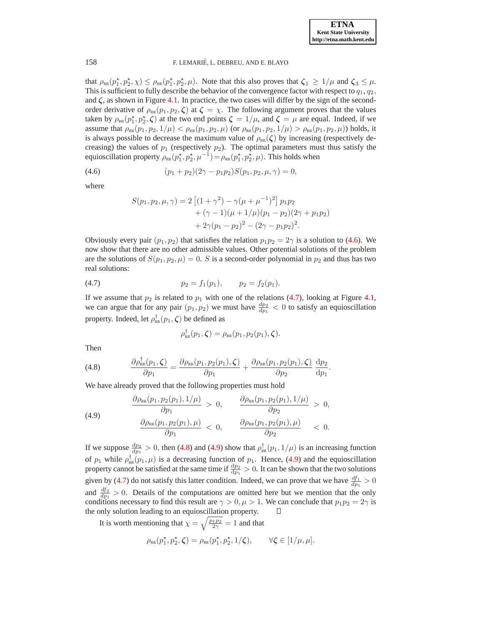that  $\rho_{RR}(p_1^*, p_2^*, \chi) \leq \rho_{RR}(p_1^*, p_2^*, \mu)$ . Note that this also proves that  $\zeta_1 \geq 1/\mu$  and  $\zeta_3 \leq \mu$ . This is sufficient to fully describe the behavior of the convergence factor with respect to  $q_1, q_2$ , and  $\zeta$ , as shown in Figure [4.1.](#page-11-1) In practice, the two cases will differ by the sign of the secondorder derivative of  $\rho_{RR}(p_1, p_2, \zeta)$  at  $\zeta = \chi$ . The following argument proves that the values taken by  $\rho_{RR}(p_1^*, p_2^*, \zeta)$  at the two end points  $\zeta = 1/\mu$ , and  $\zeta = \mu$  are equal. Indeed, if we assume that  $\rho_{RR}(p_1, p_2, 1/\mu) < \rho_{RR}(p_1, p_2, \mu)$  (or  $\rho_{RR}(p_1, p_2, 1/\mu) > \rho_{RR}(p_1, p_2, \mu)$ ) holds, it is always possible to decrease the maximum value of  $\rho_{RR}(\zeta)$  by increasing (respectively decreasing) the values of  $p_1$  (respectively  $p_2$ ). The optimal parameters must thus satisfy the equioscillation property  $\rho_{RR}(p_1^*, p_2^*, \mu^{-1}) = \rho_{RR}(p_1^*, p_2^*, \mu)$ . This holds when

(4.6) 
$$
(p_1 + p_2)(2\gamma - p_1p_2)S(p_1, p_2, \mu, \gamma) = 0,
$$

where

<span id="page-10-0"></span>
$$
S(p_1, p_2, \mu, \gamma) = 2 \left[ (1 + \gamma^2) - \gamma (\mu + \mu^{-1})^2 \right] p_1 p_2
$$
  
+ (\gamma - 1)(\mu + 1/\mu)(p\_1 - p\_2)(2\gamma + p\_1 p\_2)  
+ 2\gamma (p\_1 - p\_2)^2 - (2\gamma - p\_1 p\_2)^2.

Obviously every pair  $(p_1, p_2)$  that satisfies the relation  $p_1p_2 = 2\gamma$  is a solution to [\(4.6\)](#page-10-0). We now show that there are no other admissible values. Other potential solutions of the problem are the solutions of  $S(p_1, p_2, \mu) = 0$ . S is a second-order polynomial in  $p_2$  and thus has two real solutions:

<span id="page-10-1"></span>(4.7) 
$$
p_2 = f_1(p_1), \qquad p_2 = f_2(p_1).
$$

If we assume that  $p_2$  is related to  $p_1$  with one of the relations [\(4.7\)](#page-10-1), looking at Figure [4.1,](#page-11-1) we can argue that for any pair  $(p_1, p_2)$  we must have  $\frac{dp_2}{dp_1} < 0$  to satisfy an equioscillation property. Indeed, let  $\rho_{RR}^{\dagger}(p_1, \zeta)$  be defined as

<span id="page-10-3"></span>
$$
\rho_{\scriptscriptstyle\rm RR}^\dagger(p_1,\boldsymbol{\zeta})=\rho_{\scriptscriptstyle\rm RR}(p_1,p_2(p_1),\boldsymbol{\zeta}).
$$

<span id="page-10-2"></span>Then

(4.8) 
$$
\frac{\partial \rho_{\scriptscriptstyle{RR}}^{\dagger}(p_1,\boldsymbol{\zeta})}{\partial p_1} = \frac{\partial \rho_{\scriptscriptstyle{RR}}(p_1,p_2(p_1),\boldsymbol{\zeta})}{\partial p_1} + \frac{\partial \rho_{\scriptscriptstyle{RR}}(p_1,p_2(p_1),\boldsymbol{\zeta})}{\partial p_2} \frac{dp_2}{dp_1}.
$$

We have already proved that the following properties must hold

$$
(4.9) \qquad \frac{\partial \rho_{\text{RR}}(p_1, p_2(p_1), 1/\mu)}{\partial p_1} > 0, \qquad \frac{\partial \rho_{\text{RR}}(p_1, p_2(p_1), 1/\mu)}{\partial p_2} > 0, \frac{\partial \rho_{\text{RR}}(p_1, p_2(p_1), \mu)}{\partial p_1} < 0, \qquad \frac{\partial \rho_{\text{RR}}(p_1, p_2(p_1), \mu)}{\partial p_2} < 0.
$$

If we suppose  $\frac{dp_2}{dp_1} > 0$ , then [\(4.8\)](#page-10-2) and [\(4.9\)](#page-10-3) show that  $\rho_{RR}^{\dagger}(p_1, 1/\mu)$  is an increasing function of  $p_1$  while  $\rho_{RR}^{\dagger}(p_1,\mu)$  is a decreasing function of  $p_1$ . Hence, [\(4.9\)](#page-10-3) and the equioscillation property cannot be satisfied at the same time if  $\frac{dp_2}{dp_1} > 0$ . It can be shown that the two solutions given by [\(4.7\)](#page-10-1) do not satisfy this latter condition. Indeed, we can prove that we have  $\frac{df_1}{dp_1} > 0$ and  $\frac{df_2}{dp_1} > 0$ . Details of the computations are omitted here but we mention that the only conditions necessary to find this result are  $\gamma > 0, \mu > 1$ . We can conclude that  $p_1p_2 = 2\gamma$  is the only solution leading to an equioscillation property. П

It is worth mentioning that  $\chi = \sqrt{\frac{p_1 p_2}{2\gamma}} = 1$  and that

$$
\rho_{\text{rr}}(p_1^\star, p_2^\star, \zeta) = \rho_{\text{rr}}(p_1^\star, p_2^\star, 1/\zeta), \qquad \forall \zeta \in [1/\mu, \mu].
$$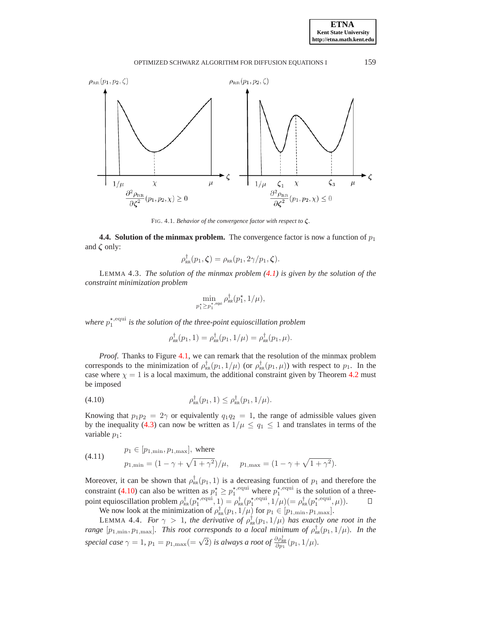

<span id="page-11-1"></span>FIG. 4.1. *Behavior of the convergence factor with respect to* ζ*.*

<span id="page-11-0"></span>**4.4. Solution of the minmax problem.** The convergence factor is now a function of  $p_1$ and  $\zeta$  only:

$$
\rho_{\scriptscriptstyle \rm RR}^\dagger(p_1,\boldsymbol{\zeta})=\rho_{\scriptscriptstyle \rm RR}(p_1,2\gamma/p_1,\boldsymbol{\zeta}).
$$

LEMMA 4.3. *The solution of the minmax problem [\(4.1\)](#page-8-3) is given by the solution of the constraint minimization problem*

$$
\min_{p_1^{\star} \geq p_1^{\star, \text{equi}}} \rho_{\scriptscriptstyle RR}^{\dagger}(p_1^{\star}, 1/\mu),
$$

where  $p_1^{\star, \mathrm{equi}}$  is the solution of the three-point equioscillation problem

$$
\rho_{\scriptscriptstyle RR}^{\dagger}(p_1,1)=\rho_{\scriptscriptstyle RR}^{\dagger}(p_1,1/\mu)=\rho_{\scriptscriptstyle RR}^{\dagger}(p_1,\mu).
$$

*Proof.* Thanks to Figure [4.1,](#page-11-1) we can remark that the resolution of the minmax problem corresponds to the minimization of  $\rho_{RR}^{\dagger}(p_1,1/\mu)$  (or  $\rho_{RR}^{\dagger}(p_1,\mu)$ ) with respect to  $p_1$ . In the case where  $\chi = 1$  is a local maximum, the additional constraint given by Theorem [4.2](#page-9-2) must be imposed

<span id="page-11-2"></span>(4.10) 
$$
\rho_{\text{RR}}^{\dagger}(p_1, 1) \leq \rho_{\text{RR}}^{\dagger}(p_1, 1/\mu).
$$

Knowing that  $p_1p_2 = 2\gamma$  or equivalently  $q_1q_2 = 1$ , the range of admissible values given by the inequality [\(4.3\)](#page-8-2) can now be written as  $1/\mu \le q_1 \le 1$  and translates in terms of the variable  $p_1$ :

<span id="page-11-3"></span>(4.11) 
$$
p_1 \in [p_{1,\min}, p_{1,\max}], \text{ where}
$$

$$
p_{1,\min} = (1 - \gamma + \sqrt{1 + \gamma^2})/\mu, \quad p_{1,\max} = (1 - \gamma + \sqrt{1 + \gamma^2}).
$$

Moreover, it can be shown that  $\rho_{RR}^{\dagger}(p_1,1)$  is a decreasing function of  $p_1$  and therefore the constraint [\(4.10\)](#page-11-2) can also be written as  $p_1^* \ge p_1^{*,\text{equi}}$  where  $p_1^{*,\text{equi}}$  is the solution of a threepoint equioscillation problem  $\rho_{RR}^{\dagger}(p_1^{\star, \text{equi}}, 1) = \rho_{RR}^{\dagger}(p_1^{\star, \text{equi}}, 1/\mu) (= \rho_{RR}^{\dagger}(p_1^{\star, \text{equi}}, \mu)).$ 

We now look at the minimization of  $\rho_{\text{RR}}^{\dagger}(p_1, 1/\mu)$  for  $p_1 \in [p_{1,\text{min}}, p_{1,\text{max}}]$ . LEMMA 4.4. *For*  $\gamma > 1$ , the derivative of  $\rho_{\rm \scriptscriptstyle RR}^{\dagger}(p_1,1/\mu)$  has exactly one root in the *range*  $[p_{1,\min}, p_{1,\max}]$ . This root corresponds to a local minimum of  $\rho_{\scriptscriptstyle RR}^{\dagger}(p_1, 1/\mu)$ . In the *special case*  $\gamma = 1$ ,  $p_1 = p_{1,\text{max}} (= \sqrt{2})$  *is always a root of*  $\frac{\partial \rho_{\text{RR}}^{\text{L}}}{\partial p_1}(p_1, 1/\mu)$ *.*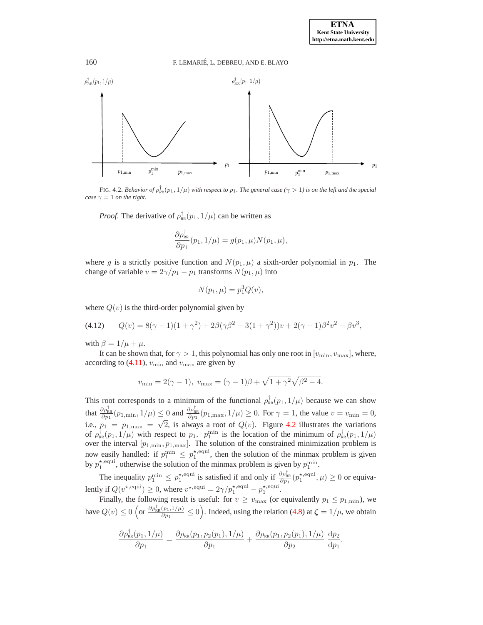

FIG. 4.2. *Behavior of*  $\rho_{RR}^{\dagger}(p_1, 1/\mu)$  *with respect to*  $p_1$ *. The general case* ( $\gamma > 1$ ) is on the left and the special *case*  $\gamma = 1$  *on the right.* 

<span id="page-12-0"></span>*Proof.* The derivative of  $\rho_{\text{RR}}^{\dagger}(p_1, 1/\mu)$  can be written as

$$
\frac{\partial \rho_{\text{RR}}^{\dagger}}{\partial p_1}(p_1, 1/\mu) = g(p_1, \mu) N(p_1, \mu),
$$

where g is a strictly positive function and  $N(p_1, \mu)$  a sixth-order polynomial in  $p_1$ . The change of variable  $v = 2\gamma/p_1 - p_1$  transforms  $N(p_1, \mu)$  into

<span id="page-12-1"></span>
$$
N(p_1, \mu) = p_1^3 Q(v),
$$

where  $Q(v)$  is the third-order polynomial given by

(4.12) 
$$
Q(v) = 8(\gamma - 1)(1 + \gamma^2) + 2\beta(\gamma\beta^2 - 3(1 + \gamma^2))v + 2(\gamma - 1)\beta^2v^2 - \beta v^3,
$$

with  $\beta = 1/\mu + \mu$ .

It can be shown that, for  $\gamma > 1$ , this polynomial has only one root in  $[v_{\min}, v_{\max}]$ , where, according to [\(4.11\)](#page-11-3),  $v_{\text{min}}$  and  $v_{\text{max}}$  are given by

$$
v_{\min} = 2(\gamma - 1), v_{\max} = (\gamma - 1)\beta + \sqrt{1 + \gamma^2}\sqrt{\beta^2 - 4}.
$$

This root corresponds to a minimum of the functional  $\rho_{RR}^{T}(p_1, 1/\mu)$  because we can show that  $\frac{\partial \rho_{\text{RR}}^{\dagger}}{\partial p_1}(p_{1,\text{min}}, 1/\mu) \le 0$  and  $\frac{\partial \rho_{\text{RR}}^{\dagger}}{\partial p_1}(p_{1,\text{max}}, 1/\mu) \ge 0$ . For  $\gamma = 1$ , the value  $v = v_{\text{min}} = 0$ , i.e.,  $p_1 = p_{1,\text{max}} = \sqrt{2}$ , is always a root of  $Q(v)$ . Figure [4.2](#page-12-0) illustrates the variations of  $\rho_{RR}^{\dagger}(p_1,1/\mu)$  with respect to  $p_1$ .  $p_1^{\min}$  is the location of the minimum of  $\rho_{RR}^{\dagger}(p_1,1/\mu)$ over the interval  $[p_{1,\min}, p_{1,\max}]$ . The solution of the constrained minimization problem is now easily handled: if  $p_1^{\text{min}} \leq p_1^{\star,\text{equi}}$ , then the solution of the minmax problem is given by  $p_1^{\star, \text{equi}}$ , otherwise the solution of the minmax problem is given by  $p_1^{\text{min}}$ .

The inequality  $p_1^{\min} \leq p_1^{*,\text{equi}}$  is satisfied if and only if  $\frac{\partial \rho_{\text{RR}}^{\dagger}}{\partial p_1}(p_1^{*,\text{equi}}, \mu) \geq 0$  or equivalently if  $Q(v^{*,\text{equi}}) \ge 0$ , where  $v^{*,\text{equi}} = 2\gamma/p_1^{*,\text{equi}} - p_1^{*,\text{equi}}$ .

Finally, the following result is useful: for  $v \ge v_{\text{max}}$  (or equivalently  $p_1 \le p_{1,\text{min}}$ ), we have  $Q(v) \le 0$  (or  $\frac{\partial \rho_{RR}^{\dagger}(p_1,1/\mu)}{\partial p_1} \le 0$ ). Indeed, using the relation [\(4.8\)](#page-10-2) at  $\zeta = 1/\mu$ , we obtain

$$
\frac{\partial \rho_{\scriptscriptstyle \sf RR}^\dagger(p_1,1/\mu)}{\partial p_1} = \frac{\partial \rho_{\scriptscriptstyle \sf RR}(p_1,p_2(p_1),1/\mu)}{\partial p_1} + \frac{\partial \rho_{\scriptscriptstyle \sf RR}(p_1,p_2(p_1),1/\mu)}{\partial p_2} \frac{\mathrm{d} p_2}{\mathrm{d} p_1}.
$$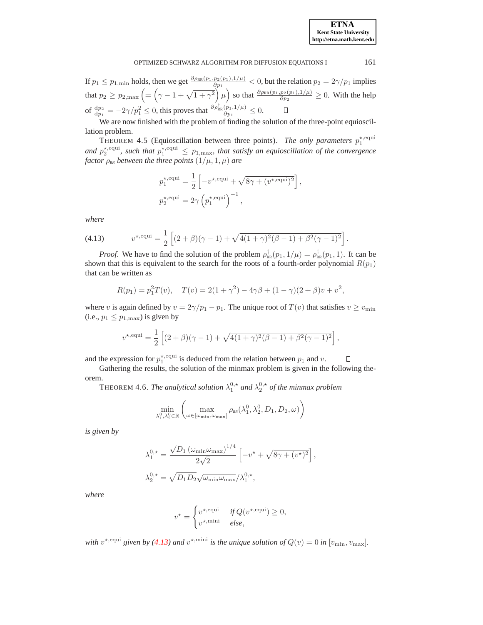$\Box$ 

If  $p_1 \le p_{1,\min}$  holds, then we get  $\frac{\partial \rho_{RR}(p_1,p_2(p_1),1/\mu)}{\partial p_1} < 0$ , but the relation  $p_2 = 2\gamma/p_1$  implies that  $p_2 \ge p_{2,\text{max}} \left( = \left(\gamma - 1 + \sqrt{1 + \gamma^2}\right)\mu \right)$  so that  $\frac{\partial \rho_{RR}(p_1, p_2(p_1), 1/\mu)}{\partial p_2} \ge 0$ . With the help of  $\frac{dp_2}{dp_1} = -2\gamma/p_1^2 \le 0$ , this proves that  $\frac{\partial \rho_{RR}^{\dagger}(p_1,1/\mu)}{\partial p_1} \le 0$ .  $\Box$ 

We are now finished with the problem of finding the solution of the three-point equioscillation problem.

THEOREM 4.5 (Equioscillation between three points). *The only parameters*  $p_1^{\star,<sup>e</sup>, equi$ and  $p_2^{*,\text{equi}}$ , such that  $p_1^{*,\text{equi}} \leq p_{1,\text{max}}$ , that satisfy an equioscillation of the convergence *factor*  $\rho_{RR}$  *between the three points*  $(1/\mu, 1, \mu)$  *are* 

$$
p_1^{\star,\text{equi}} = \frac{1}{2} \left[ -v^{\star,\text{equi}} + \sqrt{8\gamma + (v^{\star,\text{equi}})^2} \right],
$$
  

$$
p_2^{\star,\text{equi}} = 2\gamma \left( p_1^{\star,\text{equi}} \right)^{-1},
$$

<span id="page-13-0"></span>*where*

(4.13) 
$$
v^{\star, \text{equi}} = \frac{1}{2} \left[ (2+\beta)(\gamma-1) + \sqrt{4(1+\gamma)^2(\beta-1) + \beta^2(\gamma-1)^2} \right].
$$

*Proof.* We have to find the solution of the problem  $\rho_{RR}^{\dagger}(p_1, 1/\mu) = \rho_{RR}^{\dagger}(p_1, 1)$ . It can be shown that this is equivalent to the search for the roots of a fourth-order polynomial  $R(p_1)$ that can be written as

$$
R(p_1) = p_1^2 T(v), \quad T(v) = 2(1 + \gamma^2) - 4\gamma\beta + (1 - \gamma)(2 + \beta)v + v^2,
$$

where v is again defined by  $v = 2\gamma/p_1 - p_1$ . The unique root of  $T(v)$  that satisfies  $v \ge v_{\min}$ (i.e.,  $p_1 \leq p_{1,\text{max}}$ ) is given by

$$
v^{*,\text{equi}} = \frac{1}{2} \left[ (2+\beta)(\gamma - 1) + \sqrt{4(1+\gamma)^2(\beta - 1) + \beta^2(\gamma - 1)^2} \right],
$$

and the expression for  $p_1^{\star, \text{equi}}$  is deduced from the relation between  $p_1$  and v.

Gathering the results, the solution of the minmax problem is given in the following theorem.

<span id="page-13-1"></span>THEOREM 4.6. *The analytical solution*  $\lambda_1^{0,*}$  *and*  $\lambda_2^{0,*}$  *of the minmax problem* 

$$
\min_{\lambda_1^0,\lambda_2^0 \in \mathbb{R}} \left( \max_{\omega \in [\omega_{\min},\omega_{\max}]} \rho_{\scriptscriptstyle RR}(\lambda_1^0,\lambda_2^0,D_1,D_2,\omega) \right)
$$

*is given by*

$$
\lambda_1^{0,\star} = \frac{\sqrt{D_1} (\omega_{\min} \omega_{\max})^{1/4}}{2\sqrt{2}} \left[ -v^{\star} + \sqrt{8\gamma + (v^{\star})^2} \right],
$$
  

$$
\lambda_2^{0,\star} = \sqrt{D_1 D_2} \sqrt{\omega_{\min} \omega_{\max}} / \lambda_1^{0,\star},
$$

*where*

$$
v^* = \begin{cases} v^{*,\text{equi}} & \text{if } Q(v^{*,\text{equi}}) \ge 0, \\ v^{*,\text{mini}} & \text{else,} \end{cases}
$$

with  $v^{*,\text{equi}}$  given by [\(4.13\)](#page-13-0) and  $v^{*,\text{mini}}$  is the unique solution of  $Q(v) = 0$  in  $[v_{\text{min}}, v_{\text{max}}]$ .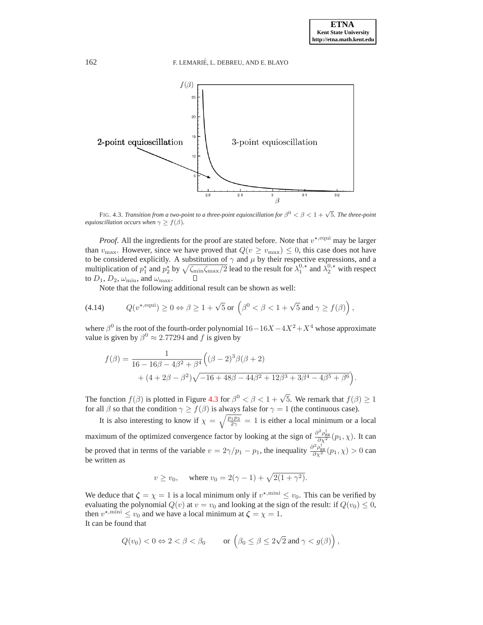

<span id="page-14-0"></span>FIG. 4.3. *Transition from a two-point to a three-point equioscillation for*  $\beta^0 < \beta < 1 + \sqrt{5}$ *. The three-point equioscillation occurs when*  $\gamma \geq f(\beta)$ *.* 

*Proof.* All the ingredients for the proof are stated before. Note that  $v^{*,\text{equi}}$  may be larger than  $v_{\text{max}}$ . However, since we have proved that  $Q(v \ge v_{\text{max}}) \le 0$ , this case does not have to be considered explicitly. A substitution of  $\gamma$  and  $\mu$  by their respective expressions, and a multiplication of  $p_1^*$  and  $p_2^*$  by  $\sqrt{\zeta_{\min} \zeta_{\max}/2}$  lead to the result for  $\lambda_1^{0,*}$  and  $\lambda_2^{0,*}$  with respect to  $D_1, D_2, \omega_{\min}$ , and  $\omega_{\max}$ .

<span id="page-14-1"></span>Note that the following additional result can be shown as well:

(4.14) 
$$
Q(v^{*,\text{equi}}) \ge 0 \Leftrightarrow \beta \ge 1 + \sqrt{5} \text{ or } \left(\beta^0 < \beta < 1 + \sqrt{5} \text{ and } \gamma \ge f(\beta)\right),
$$

where  $\beta^0$  is the root of the fourth-order polynomial  $16-16X-4X^2+X^4$  whose approximate value is given by  $\beta^0 \approx 2.77294$  and f is given by

$$
f(\beta) = \frac{1}{16 - 16\beta - 4\beta^2 + \beta^4} \Big( (\beta - 2)^3 \beta (\beta + 2) + (4 + 2\beta - \beta^2) \sqrt{-16 + 48\beta - 44\beta^2 + 12\beta^3 + 3\beta^4 - 4\beta^5 + \beta^6} \Big).
$$

The function  $f(\beta)$  is plotted in Figure [4.3](#page-14-0) for  $\beta^0 < \beta < 1 + \sqrt{5}$ . We remark that  $f(\beta) \ge 1$ for all  $\beta$  so that the condition  $\gamma \ge f(\beta)$  is always false for  $\gamma = 1$  (the continuous case).

It is also interesting to know if  $\chi = \sqrt{\frac{p_1 p_2}{2\gamma}} = 1$  is either a local minimum or a local maximum of the optimized convergence factor by looking at the sign of  $\frac{\partial^2 \rho_{RR}^{\dagger}}{\partial \chi^2}(p_1, \chi)$ . It can be proved that in terms of the variable  $v = 2\gamma/p_1 - p_1$ , the inequality  $\frac{\partial^2 \rho_{RR}^{\dagger}}{\partial \chi^2}(p_1, \chi) > 0$  can be written as

$$
v \ge v_0
$$
, where  $v_0 = 2(\gamma - 1) + \sqrt{2(1 + \gamma^2)}$ .

We deduce that  $\zeta = \chi = 1$  is a local minimum only if  $v^{*,\text{mini}} \le v_0$ . This can be verified by evaluating the polynomial  $Q(v)$  at  $v = v_0$  and looking at the sign of the result: if  $Q(v_0) \leq 0$ , then  $v^{*,\text{mini}} \le v_0$  and we have a local minimum at  $\zeta = \chi = 1$ . It can be found that

$$
Q(v_0) < 0 \Leftrightarrow 2 < \beta < \beta_0 \quad \text{or } \left(\beta_0 \le \beta \le 2\sqrt{2} \text{ and } \gamma < g(\beta)\right),
$$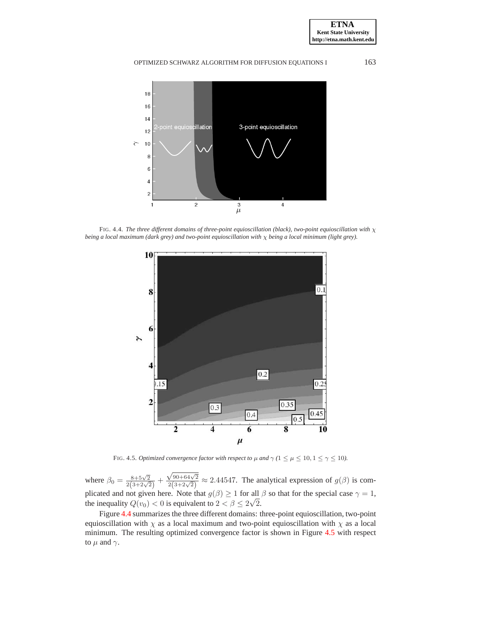

FIG. 4.4. *The three different domains of three-point equioscillation (black), two-point equioscillation with* χ *being a local maximum (dark grey) and two-point equioscillation with* χ *being a local minimum (light grey).*

<span id="page-15-0"></span>

<span id="page-15-1"></span>FIG. 4.5. *Optimized convergence factor with respect to*  $\mu$  *and*  $\gamma$  ( $1 \leq \mu \leq 10, 1 \leq \gamma \leq 10$ ).

where  $\beta_0 = \frac{8+5\sqrt{2}}{2(3+2\sqrt{2})}$  +  $\frac{\sqrt{90+64\sqrt{2}}}{2(3+2\sqrt{2})} \approx 2.44547$ . The analytical expression of  $g(\beta)$  is complicated and not given here. Note that  $g(\beta) \ge 1$  for all  $\beta$  so that for the special case  $\gamma = 1$ , the inequality  $Q(v_0) < 0$  is equivalent to  $2 < \beta \le 2\sqrt{2}$ .

Figure [4.4](#page-15-0) summarizes the three different domains: three-point equioscillation, two-point equioscillation with  $\chi$  as a local maximum and two-point equioscillation with  $\chi$  as a local minimum. The resulting optimized convergence factor is shown in Figure [4.5](#page-15-1) with respect to  $\mu$  and  $\gamma$ .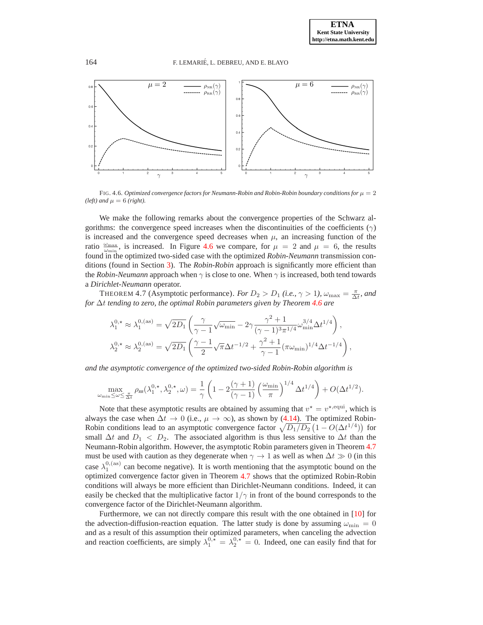

<span id="page-16-0"></span>FIG. 4.6. *Optimized convergence factors for Neumann-Robin and Robin-Robin boundary conditions for*  $\mu = 2$  $(left)$  and  $\mu = 6$  (right).

We make the following remarks about the convergence properties of the Schwarz algorithms: the convergence speed increases when the discontinuities of the coefficients  $(\gamma)$ is increased and the convergence speed decreases when  $\mu$ , an increasing function of the ratio  $\frac{\omega_{\text{max}}}{\omega_{\text{min}}}$ , is increased. In Figure [4.6](#page-16-0) we compare, for  $\mu = 2$  and  $\mu = 6$ , the results found in the optimized two-sided case with the optimized *Robin-Neumann* transmission conditions (found in Section [3\)](#page-5-0). The *Robin-Robin* approach is significantly more efficient than the *Robin-Neumann* approach when  $\gamma$  is close to one. When  $\gamma$  is increased, both tend towards a *Dirichlet-Neumann* operator.

THEOREM 4.7 (Asymptotic performance). *For*  $D_2 > D_1$  (*i.e.*,  $\gamma > 1$ *)*,  $\omega_{\text{max}} = \frac{\pi}{\Delta t}$ *, and for* ∆t *tending to zero, the optimal Robin parameters given by Theorem [4.6](#page-13-1) are*

<span id="page-16-1"></span>
$$
\lambda_1^{0,\star} \approx \lambda_1^{0,(\rm as)} = \sqrt{2D_1} \left( \frac{\gamma}{\gamma - 1} \sqrt{\omega_{\rm min}} - 2\gamma \frac{\gamma^2 + 1}{(\gamma - 1)^3 \pi^{1/4}} \omega_{\rm min}^{3/4} \Delta t^{1/4} \right),
$$
  

$$
\lambda_2^{0,\star} \approx \lambda_2^{0,(\rm as)} = \sqrt{2D_1} \left( \frac{\gamma - 1}{2} \sqrt{\pi} \Delta t^{-1/2} + \frac{\gamma^2 + 1}{\gamma - 1} (\pi \omega_{\rm min})^{1/4} \Delta t^{-1/4} \right),
$$

*and the asymptotic convergence of the optimized two-sided Robin-Robin algorithm is*

$$
\max_{\omega_{\min} \leq \omega \leq \frac{\pi}{\Delta t}} \rho_{\scriptscriptstyle{RR}}(\lambda_1^{0,\star},\lambda_2^{0,\star},\omega) = \frac{1}{\gamma} \left(1 - 2\frac{(\gamma+1)}{(\gamma-1)} \left(\frac{\omega_{\min}}{\pi}\right)^{1/4} \Delta t^{1/4}\right) + O(\Delta t^{1/2}).
$$

Note that these asymptotic results are obtained by assuming that  $v^* = v^{*,\text{equi}}$ , which is always the case when  $\Delta t \to 0$  (i.e.,  $\mu \to \infty$ ), as shown by [\(4.14\)](#page-14-1). The optimized Robin-Robin conditions lead to an asymptotic convergence factor  $\sqrt{D_1/D_2} (1 - O(\Delta t^{1/4}))$  for small  $\Delta t$  and  $D_1 < D_2$ . The associated algorithm is thus less sensitive to  $\Delta t$  than the Neumann-Robin algorithm. However, the asymptotic Robin parameters given in Theorem [4.7](#page-16-1) must be used with caution as they degenerate when  $\gamma \to 1$  as well as when  $\Delta t \gg 0$  (in this case  $\lambda_1^{0,(\text{as})}$  can become negative). It is worth mentioning that the asymptotic bound on the optimized convergence factor given in Theorem [4.7](#page-16-1) shows that the optimized Robin-Robin conditions will always be more efficient than Dirichlet-Neumann conditions. Indeed, it can easily be checked that the multiplicative factor  $1/\gamma$  in front of the bound corresponds to the convergence factor of the Dirichlet-Neumann algorithm.

Furthermore, we can not directly compare this result with the one obtained in [\[10\]](#page-20-5) for the advection-diffusion-reaction equation. The latter study is done by assuming  $\omega_{\rm min} = 0$ and as a result of this assumption their optimized parameters, when canceling the advection and reaction coefficients, are simply  $\lambda_1^{0,\star} = \lambda_2^{0,\star} = 0$ . Indeed, one can easily find that for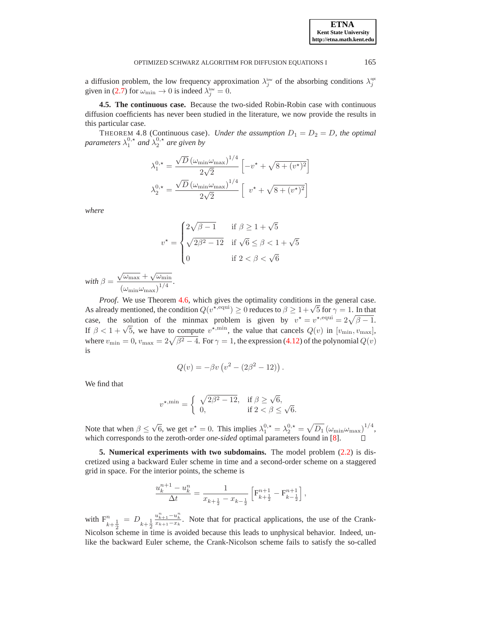a diffusion problem, the low frequency approximation  $\lambda_j^{\text{low}}$  of the absorbing conditions  $\lambda_j^{\text{opt}}$ given in [\(2.7\)](#page-4-2) for  $\omega_{\min} \to 0$  is indeed  $\lambda_j^{\text{low}} = 0$ .

**4.5. The continuous case.** Because the two-sided Robin-Robin case with continuous diffusion coefficients has never been studied in the literature, we now provide the results in this particular case.

THEOREM 4.8 (Continuous case). *Under the assumption*  $D_1 = D_2 = D$ , the optimal parameters  $\lambda_1^{0,\star}$  and  $\lambda_2^{0,\star}$  are given by

$$
\lambda_1^{0,\star} = \frac{\sqrt{D} (\omega_{\min} \omega_{\max})^{1/4}}{2\sqrt{2}} \left[ -v^{\star} + \sqrt{8 + (v^{\star})^2} \right]
$$

$$
\lambda_2^{0,\star} = \frac{\sqrt{D} (\omega_{\min} \omega_{\max})^{1/4}}{2\sqrt{2}} \left[ v^{\star} + \sqrt{8 + (v^{\star})^2} \right]
$$

*where*

$$
v^* = \begin{cases} 2\sqrt{\beta - 1} & \text{if } \beta \ge 1 + \sqrt{5} \\ \sqrt{2\beta^2 - 12} & \text{if } \sqrt{6} \le \beta < 1 + \sqrt{5} \\ 0 & \text{if } 2 < \beta < \sqrt{6} \end{cases}
$$

 $with \; \beta =$  $\sqrt{\omega_{\text{max}}} + \sqrt{\omega_{\text{min}}}$  $\frac{(\omega_{\text{max}} + \sqrt{\omega_{\text{min}}})^{1/4}}{(\omega_{\text{min}}\omega_{\text{max}})^{1/4}}$ 

*Proof*. We use Theorem [4.6,](#page-13-1) which gives the optimality conditions in the general case. As already mentioned, the condition  $Q(v^{*,\text{equi}}) \ge 0$  reduces to  $\beta \ge 1 + \sqrt{5}$  for  $\gamma = 1$ . In that case, the solution of the minmax problem is given by  $v^* = v^{*,\text{equi}} = 2\sqrt{\beta - 1}$ . If  $\beta < 1 + \sqrt{5}$ , we have to compute  $v^{*,\min}$ , the value that cancels  $Q(v)$  in  $[v_{\min}, v_{\max}]$ , where  $v_{\text{min}} = 0$ ,  $v_{\text{max}} = 2\sqrt{\beta^2 - 4}$ . For  $\gamma = 1$ , the expression [\(4.12\)](#page-12-1) of the polynomial  $Q(v)$ is

$$
Q(v) = -\beta v (v^2 - (2\beta^2 - 12)).
$$

We find that

$$
v^{\star, \min} = \begin{cases} \sqrt{2\beta^2 - 12}, & \text{if } \beta \ge \sqrt{6}, \\ 0, & \text{if } 2 < \beta \le \sqrt{6}. \end{cases}
$$

Note that when  $\beta \le \sqrt{6}$ , we get  $v^* = 0$ . This implies  $\lambda_1^{0,*} = \lambda_2^{0,*} = \sqrt{D_1} (\omega_{\min} \omega_{\max})^{1/4}$ , which corresponds to the zeroth-order *one-sided* optimal parameters found in [\[8\]](#page-20-9).

<span id="page-17-0"></span>**5. Numerical experiments with two subdomains.** The model problem [\(2.2\)](#page-2-1) is discretized using a backward Euler scheme in time and a second-order scheme on a staggered grid in space. For the interior points, the scheme is

$$
\frac{u_k^{n+1} - u_k^n}{\Delta t} = \frac{1}{x_{k+\frac{1}{2}} - x_{k-\frac{1}{2}}} \left[ \mathbf{F}_{k+\frac{1}{2}}^{n+1} - \mathbf{F}_{k-\frac{1}{2}}^{n+1} \right],
$$

with  $F_{k+\frac{1}{2}}^n$  $= D_{k+\frac{1}{2}}$  $\frac{u_{k+1}^n - u_k^n}{x_{k+1} - x_k}$ . Note that for practical applications, the use of the Crank-Nicolson scheme in time is avoided because this leads to unphysical behavior. Indeed, unlike the backward Euler scheme, the Crank-Nicolson scheme fails to satisfy the so-called

**ETNA Kent State University http://etna.math.kent.edu**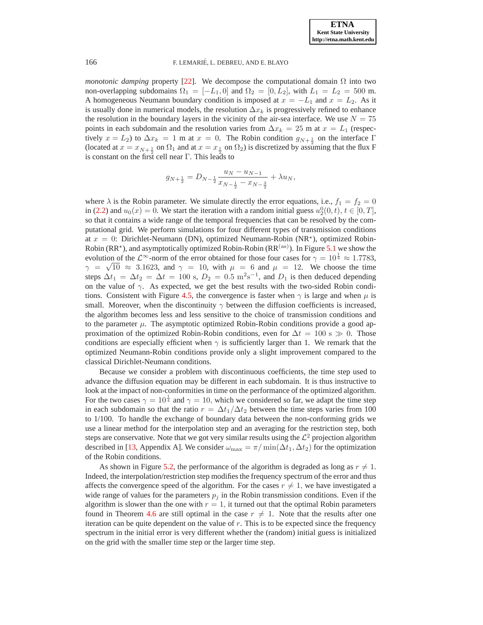*monotonic damping* property [\[22\]](#page-21-3). We decompose the computational domain  $\Omega$  into two non-overlapping subdomains  $\Omega_1 = [-L_1, 0]$  and  $\Omega_2 = [0, L_2]$ , with  $L_1 = L_2 = 500$  m. A homogeneous Neumann boundary condition is imposed at  $x = -L_1$  and  $x = L_2$ . As it is usually done in numerical models, the resolution  $\Delta x_k$  is progressively refined to enhance the resolution in the boundary layers in the vicinity of the air-sea interface. We use  $N = 75$ points in each subdomain and the resolution varies from  $\Delta x_k = 25$  m at  $x = L_1$  (respectively  $x = L_2$ ) to  $\Delta x_k = 1$  m at  $x = 0$ . The Robin condition  $g_{N+\frac{1}{2}}$  on the interface  $\Gamma$ (located at  $x = x_{N+\frac{1}{2}}$  on  $\Omega_1$  and at  $x = x_{\frac{1}{2}}$  on  $\Omega_2$ ) is discretized by assuming that the flux F is constant on the first cell near Γ. This leads to

$$
g_{N+\frac{1}{2}}=D_{N-\frac{1}{2}}\frac{u_N-u_{N-1}}{x_{N-\frac{1}{2}}-x_{N-\frac{3}{2}}}+\lambda u_N,
$$

where  $\lambda$  is the Robin parameter. We simulate directly the error equations, i.e.,  $f_1 = f_2 = 0$ in [\(2.2\)](#page-2-1) and  $u_0(x) = 0$ . We start the iteration with a random initial guess  $u_2^0(0, t)$ ,  $t \in [0, T]$ , so that it contains a wide range of the temporal frequencies that can be resolved by the computational grid. We perform simulations for four different types of transmission conditions at  $x = 0$ : Dirichlet-Neumann (DN), optimized Neumann-Robin (NR<sup>\*</sup>), optimized Robin-Robin (RR<sup>\*</sup>), and asymptotically optimized Robin-Robin (RR<sup>(as)</sup>). In Figure [5.1](#page-19-0) we show the evolution of the  $\mathcal{L}^{\infty}$ -norm of the error obtained for those four cases for  $\gamma = 10^{\frac{1}{4}} \approx 1.7783$ ,  $\gamma = \sqrt{10} \approx 3.1623$ , and  $\gamma = 10$ , with  $\mu = 6$  and  $\mu = 12$ . We choose the time steps  $\Delta t_1 = \Delta t_2 = \Delta t = 100$  s,  $D_2 = 0.5$  m<sup>2</sup>s<sup>-1</sup>, and  $D_1$  is then deduced depending on the value of  $\gamma$ . As expected, we get the best results with the two-sided Robin condi-tions. Consistent with Figure [4.5,](#page-15-1) the convergence is faster when  $\gamma$  is large and when  $\mu$  is small. Moreover, when the discontinuity  $\gamma$  between the diffusion coefficients is increased, the algorithm becomes less and less sensitive to the choice of transmission conditions and to the parameter  $\mu$ . The asymptotic optimized Robin-Robin conditions provide a good approximation of the optimized Robin-Robin conditions, even for  $\Delta t = 100$  s  $\gg 0$ . Those conditions are especially efficient when  $\gamma$  is sufficiently larger than 1. We remark that the optimized Neumann-Robin conditions provide only a slight improvement compared to the classical Dirichlet-Neumann conditions.

Because we consider a problem with discontinuous coefficients, the time step used to advance the diffusion equation may be different in each subdomain. It is thus instructive to look at the impact of non-conformities in time on the performance of the optimized algorithm. For the two cases  $\gamma = 10^{\frac{1}{4}}$  and  $\gamma = 10$ , which we considered so far, we adapt the time step in each subdomain so that the ratio  $r = \Delta t_1/\Delta t_2$  between the time steps varies from 100 to 1/100. To handle the exchange of boundary data between the non-conforming grids we use a linear method for the interpolation step and an averaging for the restriction step, both steps are conservative. Note that we got very similar results using the  $\mathcal{L}^2$  projection algorithm described in [\[13,](#page-20-18) Appendix A]. We consider  $\omega_{\text{max}} = \pi / \min(\Delta t_1, \Delta t_2)$  for the optimization of the Robin conditions.

As shown in Figure [5.2,](#page-19-1) the performance of the algorithm is degraded as long as  $r \neq 1$ . Indeed, the interpolation/restriction step modifies the frequency spectrum of the error and thus affects the convergence speed of the algorithm. For the cases  $r \neq 1$ , we have investigated a wide range of values for the parameters  $p_i$  in the Robin transmission conditions. Even if the algorithm is slower than the one with  $r = 1$ , it turned out that the optimal Robin parameters found in Theorem [4.6](#page-13-1) are still optimal in the case  $r \neq 1$ . Note that the results after one iteration can be quite dependent on the value of  $r$ . This is to be expected since the frequency spectrum in the initial error is very different whether the (random) initial guess is initialized on the grid with the smaller time step or the larger time step.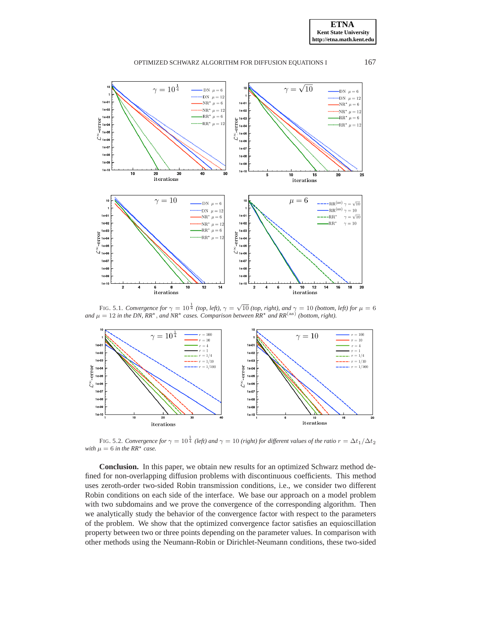**ETNA Kent State University http://etna.math.kent.edu**





<span id="page-19-0"></span>FIG. 5.1. *Convergence for*  $\gamma = 10^{\frac{1}{4}}$  (top, left),  $\gamma = \sqrt{10}$  (top, right), and  $\gamma = 10$  (bottom, left) for  $\mu = 6$ *and*  $\mu = 12$  *in the DN, RR<sup>\*</sup>, and NR<sup>\*</sup> cases. Comparison between RR<sup>\*</sup> <i>and RR*<sup>(as)</sup> *(bottom, right).* 



<span id="page-19-1"></span>FIG. 5.2. *Convergence for*  $\gamma = 10^{\frac{1}{4}}$  *(left) and*  $\gamma = 10$  *(right) for different values of the ratio*  $r = \Delta t_1/\Delta t_2$ *with*  $\mu = 6$  *in the RR<sup>\*</sup> case.* 

**Conclusion.** In this paper, we obtain new results for an optimized Schwarz method defined for non-overlapping diffusion problems with discontinuous coefficients. This method uses zeroth-order two-sided Robin transmission conditions, i.e., we consider two different Robin conditions on each side of the interface. We base our approach on a model problem with two subdomains and we prove the convergence of the corresponding algorithm. Then we analytically study the behavior of the convergence factor with respect to the parameters of the problem. We show that the optimized convergence factor satisfies an equioscillation property between two or three points depending on the parameter values. In comparison with other methods using the Neumann-Robin or Dirichlet-Neumann conditions, these two-sided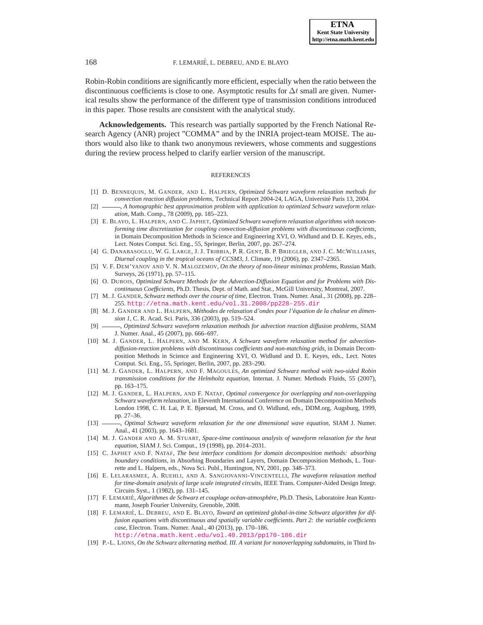Robin-Robin conditions are significantly more efficient, especially when the ratio between the discontinuous coefficients is close to one. Asymptotic results for  $\Delta t$  small are given. Numerical results show the performance of the different type of transmission conditions introduced in this paper. Those results are consistent with the analytical study.

**Acknowledgements.** This research was partially supported by the French National Research Agency (ANR) project "COMMA" and by the INRIA project-team MOISE. The authors would also like to thank two anonymous reviewers, whose comments and suggestions during the review process helped to clarify earlier version of the manuscript.

#### **REFERENCES**

- <span id="page-20-16"></span>[1] D. BENNEQUIN, M. GANDER, AND L. HALPERN, *Optimized Schwarz waveform relaxation methods for convection reaction diffusion problems*, Technical Report 2004-24, LAGA, Universite Paris 13, 2004. ´
- <span id="page-20-17"></span>[2] , *A homographic best approximation problem with application to optimized Schwarz waveform relaxation*, Math. Comp., 78 (2009), pp. 185–223.
- <span id="page-20-4"></span>[3] E. BLAYO, L. HALPERN, AND C. JAPHET, *Optimized Schwarz waveform relaxation algorithms with nonconforming time discretization for coupling convection-diffusion problems with discontinuous coefficients*, in Domain Decomposition Methods in Science and Engineering XVI, O. Widlund and D. E. Keyes, eds., Lect. Notes Comput. Sci. Eng., 55, Springer, Berlin, 2007, pp. 267–274.
- <span id="page-20-12"></span>[4] G. DANABASOGLU, W. G. LARGE, J. J. TRIBBIA, P. R. GENT, B. P. BRIEGLEB, AND J. C. MCWILLIAMS, *Diurnal coupling in the tropical oceans of CCSM3*, J. Climate, 19 (2006), pp. 2347–2365.
- <span id="page-20-13"></span>[5] V. F. DEM'YANOV AND V. N. MALOZEMOV, *On the theory of non-linear minimax problems*, Russian Math. Surveys, 26 (1971), pp. 57–115.
- <span id="page-20-14"></span>[6] O. DUBOIS, *Optimized Schwarz Methods for the Advection-Diffusion Equation and for Problems with Discontinuous Coefficients*, Ph.D. Thesis, Dept. of Math. and Stat., McGill University, Montreal, 2007.
- <span id="page-20-11"></span>[7] M. J. GANDER, *Schwarz methods over the course of time*, Electron. Trans. Numer. Anal., 31 (2008), pp. 228– 255. <http://etna.math.kent.edu/vol.31.2008/pp228-255.dir>
- <span id="page-20-9"></span>[8] M. J. GANDER AND L. HALPERN, *Methodes de relaxation d'ondes pour l' ´ equation de la chaleur en dimen- ´ sion 1*, C. R. Acad. Sci. Paris, 336 (2003), pp. 519–524.
- <span id="page-20-1"></span>[9] , *Optimized Schwarz waveform relaxation methods for advection reaction diffusion problems*, SIAM J. Numer. Anal., 45 (2007), pp. 666–697.
- <span id="page-20-5"></span>[10] M. J. GANDER, L. HALPERN, AND M. KERN, *A Schwarz waveform relaxation method for advectiondiffusion-reaction problems with discontinuous coefficients and non-matching grids*, in Domain Decomposition Methods in Science and Engineering XVI, O. Widlund and D. E. Keyes, eds., Lect. Notes Comput. Sci. Eng., 55, Springer, Berlin, 2007, pp. 283–290.
- <span id="page-20-15"></span>[11] M. J. GANDER, L. HALPERN, AND F. MAGOULES, *An optimized Schwarz method with two-sided Robin transmission conditions for the Helmholtz equation*, Internat. J. Numer. Methods Fluids, 55 (2007), pp. 163–175.
- <span id="page-20-2"></span>[12] M. J. GANDER, L. HALPERN, AND F. NATAF, *Optimal convergence for overlapping and non-overlapping Schwarz waveform relaxation*, in Eleventh International Conference on Domain Decomposition Methods London 1998, C. H. Lai, P. E. Bjørstad, M. Cross, and O. Widlund, eds., DDM.org, Augsburg, 1999, pp. 27–36.
- <span id="page-20-18"></span>[13] - *Optimal Schwarz waveform relaxation for the one dimensional wave equation*, SIAM J. Numer. Anal., 41 (2003), pp. 1643–1681.
- <span id="page-20-3"></span>[14] M. J. GANDER AND A. M. STUART, *Space-time continuous analysis of waveform relaxation for the heat equation*, SIAM J. Sci. Comput., 19 (1998), pp. 2014–2031.
- <span id="page-20-7"></span>[15] C. JAPHET AND F. NATAF, *The best interface conditions for domain decomposition methods: absorbing boundary conditions*, in Absorbing Boundaries and Layers, Domain Decomposition Methods, L. Tourrette and L. Halpern, eds., Nova Sci. Publ., Huntington, NY, 2001, pp. 348–373.
- <span id="page-20-8"></span>[16] E. LELARASMEE, A. RUEHLI, AND A. SANGIOVANNI-VINCENTELLI, *The waveform relaxation method for time-domain analysis of large scale integrated circuits*, IEEE Trans. Computer-Aided Design Integr. Circuits Syst., 1 (1982), pp. 131–145.
- <span id="page-20-0"></span>[17] F. LEMARIE´, *Algorithmes de Schwarz et couplage ocean-atmosph ´ ere ´* , Ph.D. Thesis, Laboratoire Jean Kuntzmann, Joseph Fourier University, Grenoble, 2008.
- <span id="page-20-10"></span>[18] F. LEMARIE´, L. DEBREU, AND E. BLAYO, *Toward an optimized global-in-time Schwarz algorithm for diffusion equations with discontinuous and spatially variable coefficients. Part 2: the variable coefficients case*, Electron. Trans. Numer. Anal., 40 (2013), pp. 170–186. <http://etna.math.kent.edu/vol.40.2013/pp170-186.dir>
- <span id="page-20-6"></span>[19] P.-L. LIONS, *On the Schwarz alternating method. III. A variant for nonoverlapping subdomains*, in Third In-